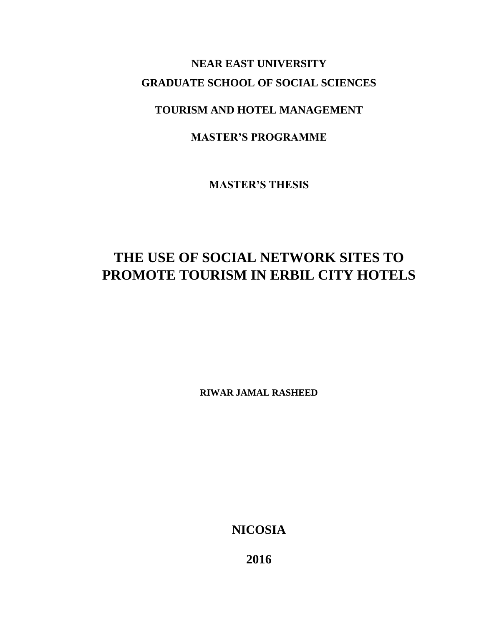## **NEAR EAST UNIVERSITY GRADUATE SCHOOL OF SOCIAL SCIENCES**

## **TOURISM AND HOTEL MANAGEMENT**

## **MASTER'S PROGRAMME**

**MASTER'S THESIS** 

# **THE USE OF SOCIAL NETWORK SITES TO PROMOTE TOURISM IN ERBIL CITY HOTELS**

**RIWAR JAMAL RASHEED** 

**NICOSIA** 

**2016**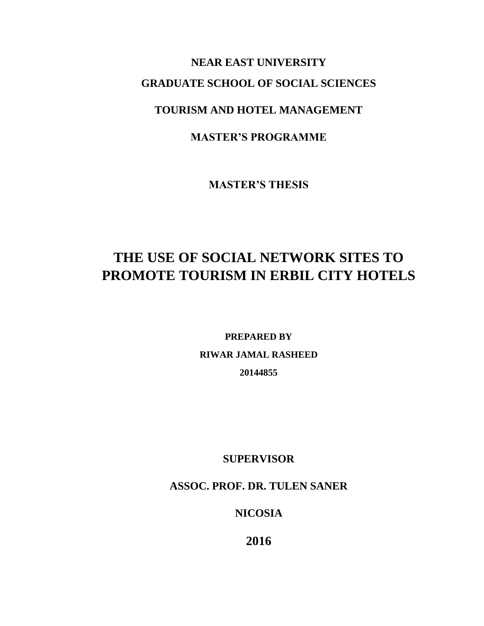# **NEAR EAST UNIVERSITY GRADUATE SCHOOL OF SOCIAL SCIENCES**

## **TOURISM AND HOTEL MANAGEMENT**

## **MASTER'S PROGRAMME**

**MASTER'S THESIS** 

# **THE USE OF SOCIAL NETWORK SITES TO PROMOTE TOURISM IN ERBIL CITY HOTELS**

**PREPARED BY RIWAR JAMAL RASHEED 20144855**

**SUPERVISOR**

**ASSOC. PROF. DR. TULEN SANER**

**NICOSIA**

**2016**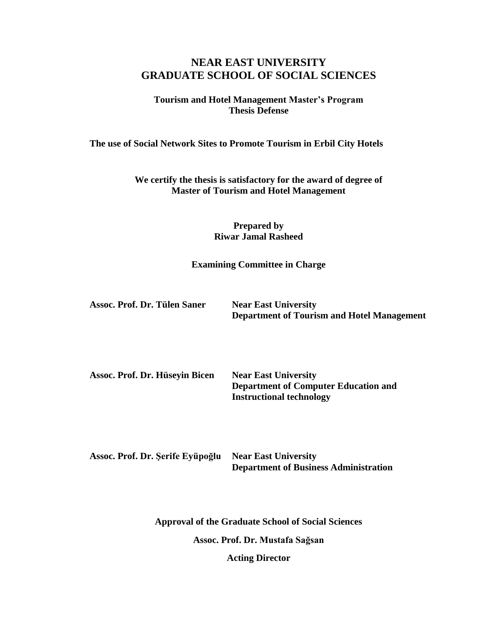## **NEAR EAST UNIVERSITY GRADUATE SCHOOL OF SOCIAL SCIENCES**

#### **Tourism and Hotel Management Master's Program Thesis Defense**

**The use of Social Network Sites to Promote Tourism in Erbil City Hotels** 

**We certify the thesis is satisfactory for the award of degree of Master of Tourism and Hotel Management**

> **Prepared by Riwar Jamal Rasheed**

**Examining Committee in Charge**

| Assoc. Prof. Dr. Tülen Saner | <b>Near East University</b>                       |
|------------------------------|---------------------------------------------------|
|                              | <b>Department of Tourism and Hotel Management</b> |

**Assoc. Prof. Dr. Hüseyin Bicen Near East University Department of Computer Education and Instructional technology**

**Assoc. Prof. Dr. Şerife Eyüpoğlu Near East University Department of Business Administration**

**Approval of the Graduate School of Social Sciences**

**Assoc. Prof. Dr. Mustafa Sağsan**

**Acting Director**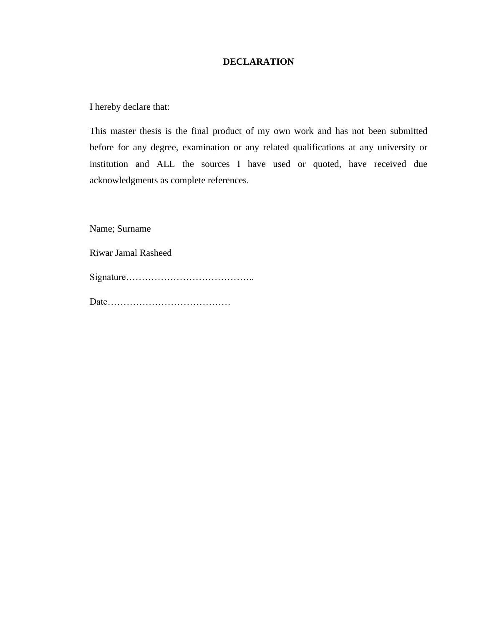#### **DECLARATION**

I hereby declare that:

This master thesis is the final product of my own work and has not been submitted before for any degree, examination or any related qualifications at any university or institution and ALL the sources I have used or quoted, have received due acknowledgments as complete references.

Name; Surname

Riwar Jamal Rasheed

Signature…………………………………..

Date…………………………………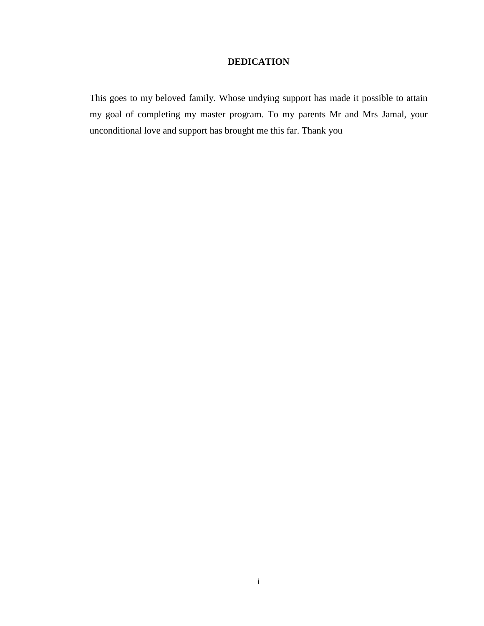#### **DEDICATION**

This goes to my beloved family. Whose undying support has made it possible to attain my goal of completing my master program. To my parents Mr and Mrs Jamal, your unconditional love and support has brought me this far. Thank you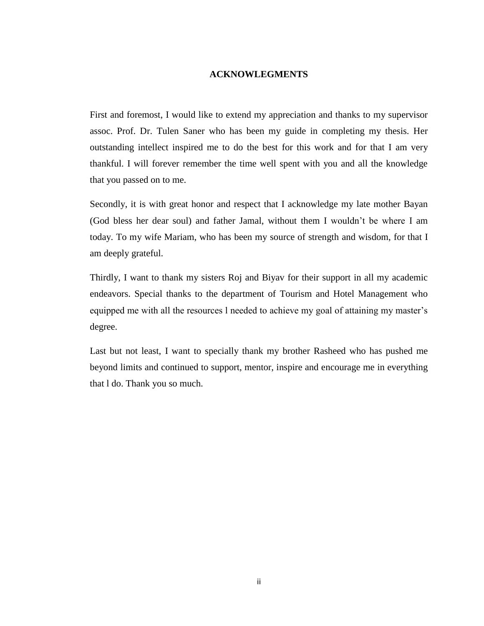#### **ACKNOWLEGMENTS**

<span id="page-5-0"></span>First and foremost, I would like to extend my appreciation and thanks to my supervisor assoc. Prof. Dr. Tulen Saner who has been my guide in completing my thesis. Her outstanding intellect inspired me to do the best for this work and for that I am very thankful. I will forever remember the time well spent with you and all the knowledge that you passed on to me.

Secondly, it is with great honor and respect that I acknowledge my late mother Bayan (God bless her dear soul) and father Jamal, without them I wouldn't be where I am today. To my wife Mariam, who has been my source of strength and wisdom, for that I am deeply grateful.

Thirdly, I want to thank my sisters Roj and Biyav for their support in all my academic endeavors. Special thanks to the department of Tourism and Hotel Management who equipped me with all the resources l needed to achieve my goal of attaining my master's degree.

Last but not least, I want to specially thank my brother Rasheed who has pushed me beyond limits and continued to support, mentor, inspire and encourage me in everything that l do. Thank you so much.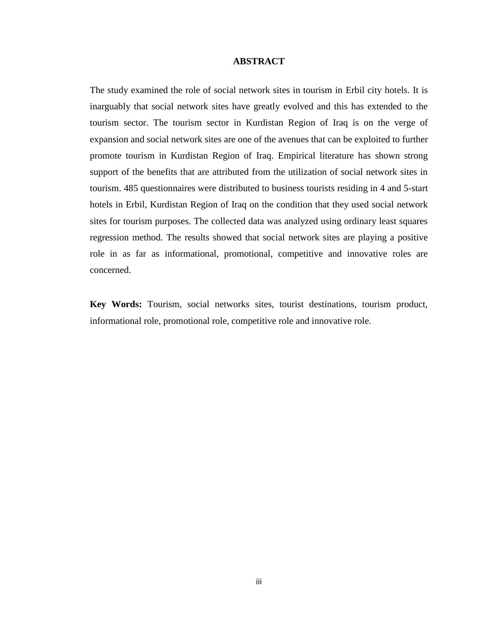#### **ABSTRACT**

<span id="page-6-0"></span>The study examined the role of social network sites in tourism in Erbil city hotels. It is inarguably that social network sites have greatly evolved and this has extended to the tourism sector. The tourism sector in Kurdistan Region of Iraq is on the verge of expansion and social network sites are one of the avenues that can be exploited to further promote tourism in Kurdistan Region of Iraq. Empirical literature has shown strong support of the benefits that are attributed from the utilization of social network sites in tourism. 485 questionnaires were distributed to business tourists residing in 4 and 5-start hotels in Erbil, Kurdistan Region of Iraq on the condition that they used social network sites for tourism purposes. The collected data was analyzed using ordinary least squares regression method. The results showed that social network sites are playing a positive role in as far as informational, promotional, competitive and innovative roles are concerned.

**Key Words:** Tourism, social networks sites, tourist destinations, tourism product, informational role, promotional role, competitive role and innovative role.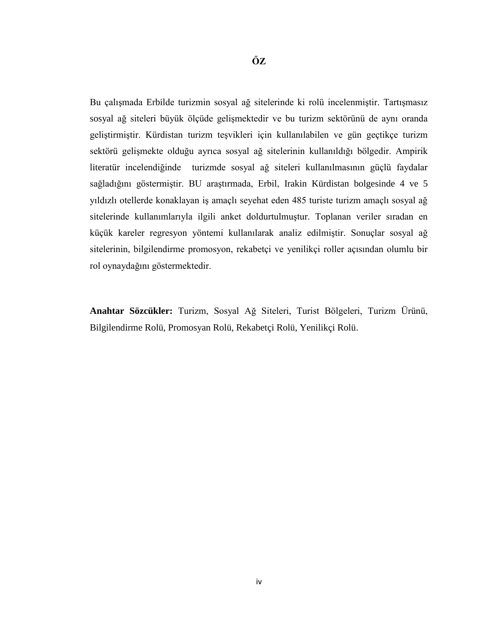Bu çalışmada Erbilde turizmin sosyal ağ sitelerinde ki rolü incelenmiştir. Tartışmasız sosyal ağ siteleri büyük ölçüde gelişmektedir ve bu turizm sektörünü de aynı oranda geliştirmiştir. Kürdistan turizm teşvikleri için kullanılabilen ve gün geçtikçe turizm sektörü gelişmekte olduğu ayrıca sosyal ağ sitelerinin kullanıldığı bölgedir. Ampirik literatür incelendiğinde turizmde sosyal ağ siteleri kullanılmasının güçlü faydalar sağladığını göstermiştir. BU araştırmada, Erbil, Irakin Kürdistan bolgesinde 4 ve 5 yıldızlı otellerde konaklayan iş amaçlı seyehat eden 485 turiste turizm amaçlı sosyal ağ sitelerinde kullanımlarıyla ilgili anket doldurtulmuştur. Toplanan veriler sıradan en küçük kareler regresyon yöntemi kullanılarak analiz edilmiştir. Sonuçlar sosyal ağ sitelerinin, bilgilendirme promosyon, rekabetçi ve yenilikçi roller açısından olumlu bir rol oynaydağını göstermektedir.

**Anahtar Sözcükler:** Turizm, Sosyal Ağ Siteleri, Turist Bölgeleri, Turizm Ürünü, Bilgilendirme Rolü, Promosyan Rolü, Rekabetçi Rolü, Yenilikçi Rolü.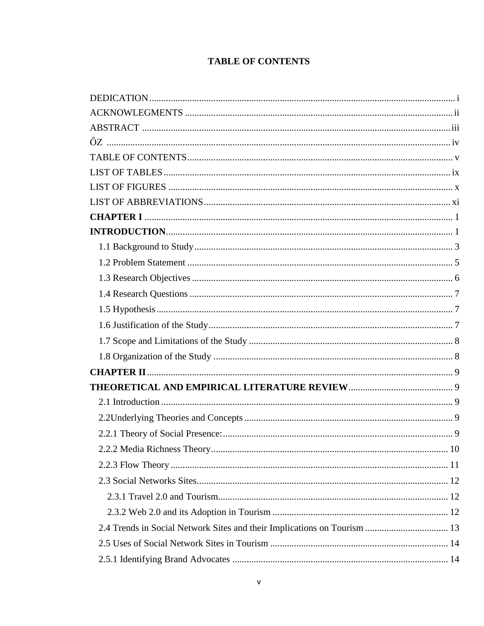## **TABLE OF CONTENTS**

<span id="page-8-0"></span>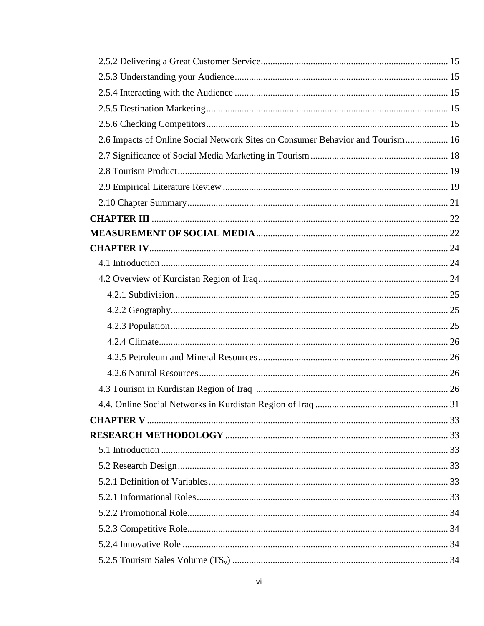| 2.6 Impacts of Online Social Network Sites on Consumer Behavior and Tourism 16 |  |
|--------------------------------------------------------------------------------|--|
|                                                                                |  |
|                                                                                |  |
|                                                                                |  |
|                                                                                |  |
|                                                                                |  |
|                                                                                |  |
|                                                                                |  |
|                                                                                |  |
|                                                                                |  |
|                                                                                |  |
|                                                                                |  |
|                                                                                |  |
|                                                                                |  |
|                                                                                |  |
|                                                                                |  |
|                                                                                |  |
|                                                                                |  |
|                                                                                |  |
|                                                                                |  |
|                                                                                |  |
|                                                                                |  |
|                                                                                |  |
|                                                                                |  |
|                                                                                |  |
|                                                                                |  |
|                                                                                |  |
|                                                                                |  |
|                                                                                |  |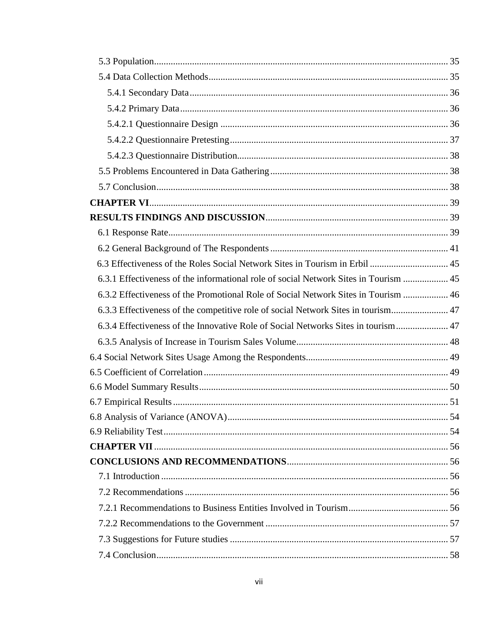| 6.3 Effectiveness of the Roles Social Network Sites in Tourism in Erbil  45          |  |
|--------------------------------------------------------------------------------------|--|
| 6.3.1 Effectiveness of the informational role of social Network Sites in Tourism  45 |  |
| 6.3.2 Effectiveness of the Promotional Role of Social Network Sites in Tourism  46   |  |
| 6.3.3 Effectiveness of the competitive role of social Network Sites in tourism 47    |  |
| 6.3.4 Effectiveness of the Innovative Role of Social Networks Sites in tourism 47    |  |
|                                                                                      |  |
|                                                                                      |  |
|                                                                                      |  |
|                                                                                      |  |
|                                                                                      |  |
|                                                                                      |  |
|                                                                                      |  |
|                                                                                      |  |
|                                                                                      |  |
|                                                                                      |  |
|                                                                                      |  |
|                                                                                      |  |
|                                                                                      |  |
|                                                                                      |  |
|                                                                                      |  |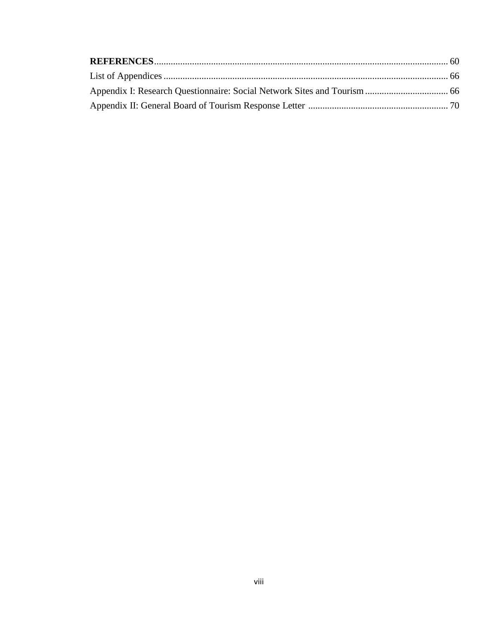<span id="page-11-0"></span>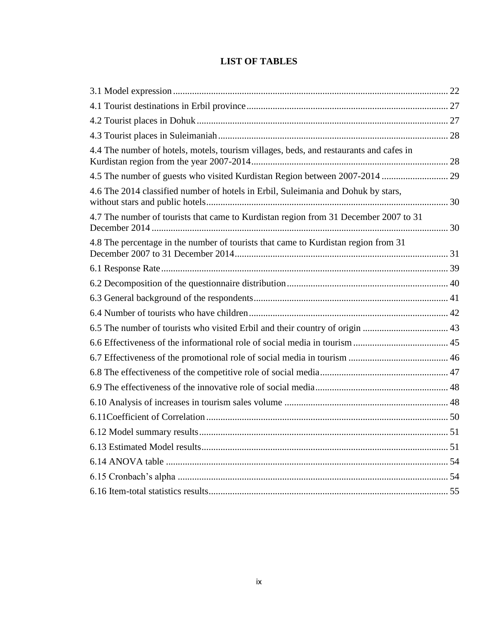## **LIST OF TABLES**

| 4.4 The number of hotels, motels, tourism villages, beds, and restaurants and cafes in |  |
|----------------------------------------------------------------------------------------|--|
| 4.5 The number of guests who visited Kurdistan Region between 2007-2014  29            |  |
| 4.6 The 2014 classified number of hotels in Erbil, Suleimania and Dohuk by stars,      |  |
| 4.7 The number of tourists that came to Kurdistan region from 31 December 2007 to 31   |  |
| 4.8 The percentage in the number of tourists that came to Kurdistan region from 31     |  |
|                                                                                        |  |
|                                                                                        |  |
|                                                                                        |  |
|                                                                                        |  |
| 6.5 The number of tourists who visited Erbil and their country of origin  43           |  |
|                                                                                        |  |
|                                                                                        |  |
|                                                                                        |  |
|                                                                                        |  |
|                                                                                        |  |
|                                                                                        |  |
|                                                                                        |  |
|                                                                                        |  |
|                                                                                        |  |
|                                                                                        |  |
|                                                                                        |  |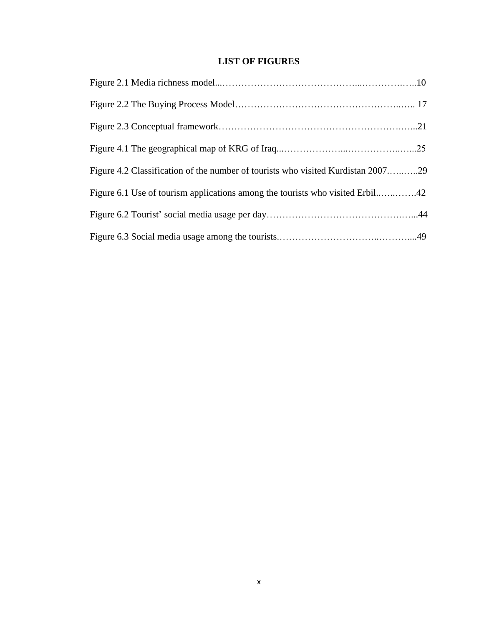#### **LIST OF FIGURES**

<span id="page-13-0"></span>

| Figure 4.2 Classification of the number of tourists who visited Kurdistan 200729 |  |
|----------------------------------------------------------------------------------|--|
| Figure 6.1 Use of tourism applications among the tourists who visited Erbil42    |  |
|                                                                                  |  |
|                                                                                  |  |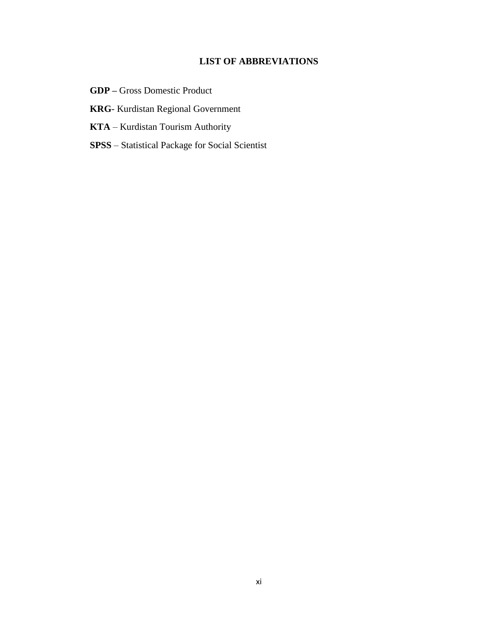#### **LIST OF ABBREVIATIONS**

- <span id="page-14-0"></span>**GDP –** Gross Domestic Product
- **KRG** Kurdistan Regional Government
- **KTA** Kurdistan Tourism Authority
- **SPSS**  Statistical Package for Social Scientist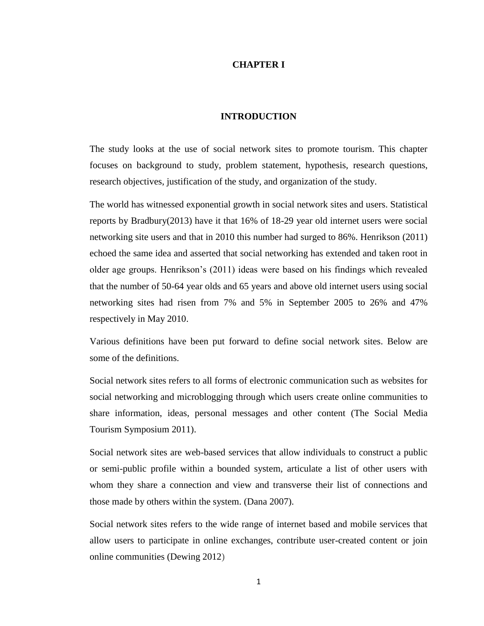#### **CHAPTER I**

#### **INTRODUCTION**

<span id="page-15-1"></span><span id="page-15-0"></span>The study looks at the use of social network sites to promote tourism. This chapter focuses on background to study, problem statement, hypothesis, research questions, research objectives, justification of the study, and organization of the study.

The world has witnessed exponential growth in social network sites and users. Statistical reports by Bradbury(2013) have it that 16% of 18-29 year old internet users were social networking site users and that in 2010 this number had surged to 86%. Henrikson (2011) echoed the same idea and asserted that social networking has extended and taken root in older age groups. Henrikson's (2011) ideas were based on his findings which revealed that the number of 50-64 year olds and 65 years and above old internet users using social networking sites had risen from 7% and 5% in September 2005 to 26% and 47% respectively in May 2010.

Various definitions have been put forward to define social network sites. Below are some of the definitions.

Social network sites refers to all forms of electronic communication such as websites for social networking and microblogging through which users create online communities to share information, ideas, personal messages and other content (The Social Media Tourism Symposium 2011).

Social network sites are web-based services that allow individuals to construct a public or semi-public profile within a bounded system, articulate a list of other users with whom they share a connection and view and transverse their list of connections and those made by others within the system. (Dana 2007).

Social network sites refers to the wide range of internet based and mobile services that allow users to participate in online exchanges, contribute user-created content or join online communities (Dewing 2012)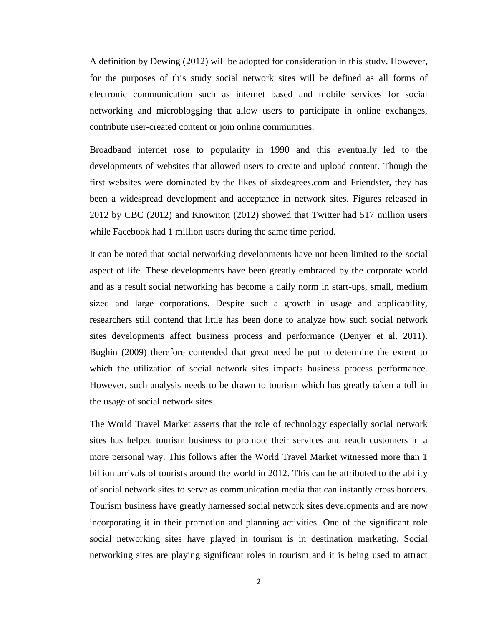A definition by Dewing (2012) will be adopted for consideration in this study. However, for the purposes of this study social network sites will be defined as all forms of electronic communication such as internet based and mobile services for social networking and microblogging that allow users to participate in online exchanges, contribute user-created content or join online communities.

Broadband internet rose to popularity in 1990 and this eventually led to the developments of websites that allowed users to create and upload content. Though the first websites were dominated by the likes of sixdegrees.com and Friendster, they has been a widespread development and acceptance in network sites. Figures released in 2012 by CBC (2012) and Knowiton (2012) showed that Twitter had 517 million users while Facebook had 1 million users during the same time period.

It can be noted that social networking developments have not been limited to the social aspect of life. These developments have been greatly embraced by the corporate world and as a result social networking has become a daily norm in start-ups, small, medium sized and large corporations. Despite such a growth in usage and applicability, researchers still contend that little has been done to analyze how such social network sites developments affect business process and performance (Denyer et al. 2011). Bughin (2009) therefore contended that great need be put to determine the extent to which the utilization of social network sites impacts business process performance. However, such analysis needs to be drawn to tourism which has greatly taken a toll in the usage of social network sites.

The World Travel Market asserts that the role of technology especially social network sites has helped tourism business to promote their services and reach customers in a more personal way. This follows after the World Travel Market witnessed more than 1 billion arrivals of tourists around the world in 2012. This can be attributed to the ability of social network sites to serve as communication media that can instantly cross borders. Tourism business have greatly harnessed social network sites developments and are now incorporating it in their promotion and planning activities. One of the significant role social networking sites have played in tourism is in destination marketing. Social networking sites are playing significant roles in tourism and it is being used to attract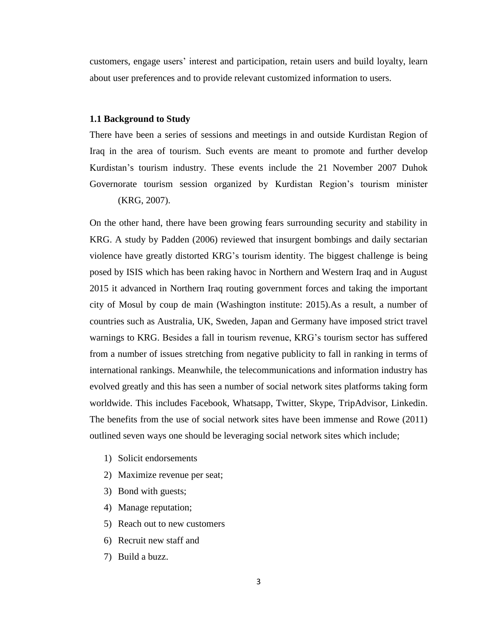customers, engage users' interest and participation, retain users and build loyalty, learn about user preferences and to provide relevant customized information to users.

#### <span id="page-17-0"></span>**1.1 Background to Study**

There have been a series of sessions and meetings in and outside Kurdistan Region of Iraq in the area of tourism. Such events are meant to promote and further develop Kurdistan's tourism industry. These events include the 21 November 2007 Duhok Governorate tourism session organized by Kurdistan Region's tourism minister (KRG, 2007).

On the other hand, there have been growing fears surrounding security and stability in KRG. A study by Padden (2006) reviewed that insurgent bombings and daily sectarian violence have greatly distorted KRG's tourism identity. The biggest challenge is being posed by ISIS which has been raking havoc in Northern and Western Iraq and in August 2015 it advanced in Northern Iraq routing government forces and taking the important city of Mosul by coup de main (Washington institute: 2015).As a result, a number of countries such as Australia, UK, Sweden, Japan and Germany have imposed strict travel warnings to KRG. Besides a fall in tourism revenue, KRG's tourism sector has suffered from a number of issues stretching from negative publicity to fall in ranking in terms of international rankings. Meanwhile, the telecommunications and information industry has evolved greatly and this has seen a number of social network sites platforms taking form worldwide. This includes Facebook, Whatsapp, Twitter, Skype, TripAdvisor, Linkedin. The benefits from the use of social network sites have been immense and Rowe (2011) outlined seven ways one should be leveraging social network sites which include;

- 1) Solicit endorsements
- 2) Maximize revenue per seat;
- 3) Bond with guests;
- 4) Manage reputation;
- 5) Reach out to new customers
- 6) Recruit new staff and
- 7) Build a buzz.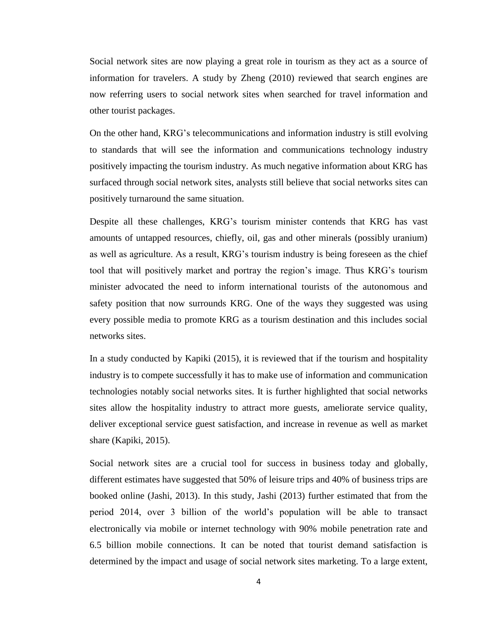Social network sites are now playing a great role in tourism as they act as a source of information for travelers. A study by Zheng (2010) reviewed that search engines are now referring users to social network sites when searched for travel information and other tourist packages.

On the other hand, KRG's telecommunications and information industry is still evolving to standards that will see the information and communications technology industry positively impacting the tourism industry. As much negative information about KRG has surfaced through social network sites, analysts still believe that social networks sites can positively turnaround the same situation.

Despite all these challenges, KRG's tourism minister contends that KRG has vast amounts of untapped resources, chiefly, oil, gas and other minerals (possibly uranium) as well as agriculture. As a result, KRG's tourism industry is being foreseen as the chief tool that will positively market and portray the region's image. Thus KRG's tourism minister advocated the need to inform international tourists of the autonomous and safety position that now surrounds KRG. One of the ways they suggested was using every possible media to promote KRG as a tourism destination and this includes social networks sites.

In a study conducted by Kapiki (2015), it is reviewed that if the tourism and hospitality industry is to compete successfully it has to make use of information and communication technologies notably social networks sites. It is further highlighted that social networks sites allow the hospitality industry to attract more guests, ameliorate service quality, deliver exceptional service guest satisfaction, and increase in revenue as well as market share (Kapiki, 2015).

Social network sites are a crucial tool for success in business today and globally, different estimates have suggested that 50% of leisure trips and 40% of business trips are booked online (Jashi, 2013). In this study, Jashi (2013) further estimated that from the period 2014, over 3 billion of the world's population will be able to transact electronically via mobile or internet technology with 90% mobile penetration rate and 6.5 billion mobile connections. It can be noted that tourist demand satisfaction is determined by the impact and usage of social network sites marketing. To a large extent,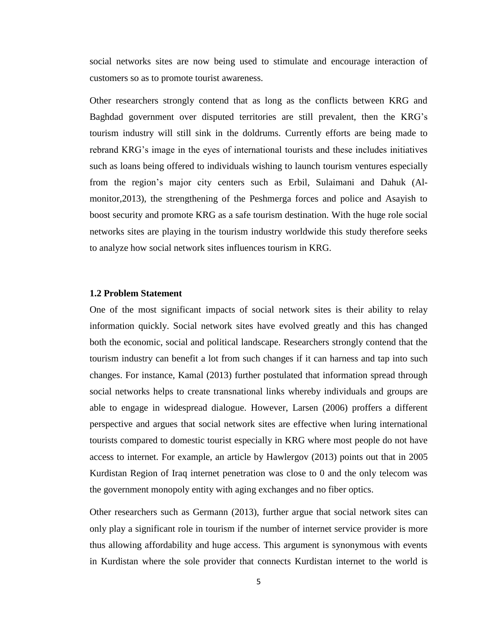social networks sites are now being used to stimulate and encourage interaction of customers so as to promote tourist awareness.

Other researchers strongly contend that as long as the conflicts between KRG and Baghdad government over disputed territories are still prevalent, then the KRG's tourism industry will still sink in the doldrums. Currently efforts are being made to rebrand KRG's image in the eyes of international tourists and these includes initiatives such as loans being offered to individuals wishing to launch tourism ventures especially from the region's major city centers such as Erbil, Sulaimani and Dahuk (Almonitor,2013), the strengthening of the Peshmerga forces and police and Asayish to boost security and promote KRG as a safe tourism destination. With the huge role social networks sites are playing in the tourism industry worldwide this study therefore seeks to analyze how social network sites influences tourism in KRG.

#### <span id="page-19-0"></span>**1.2 Problem Statement**

One of the most significant impacts of social network sites is their ability to relay information quickly. Social network sites have evolved greatly and this has changed both the economic, social and political landscape. Researchers strongly contend that the tourism industry can benefit a lot from such changes if it can harness and tap into such changes. For instance, Kamal (2013) further postulated that information spread through social networks helps to create transnational links whereby individuals and groups are able to engage in widespread dialogue. However, Larsen (2006) proffers a different perspective and argues that social network sites are effective when luring international tourists compared to domestic tourist especially in KRG where most people do not have access to internet. For example, an article by Hawlergov (2013) points out that in 2005 Kurdistan Region of Iraq internet penetration was close to 0 and the only telecom was the government monopoly entity with aging exchanges and no fiber optics.

Other researchers such as Germann (2013), further argue that social network sites can only play a significant role in tourism if the number of internet service provider is more thus allowing affordability and huge access. This argument is synonymous with events in Kurdistan where the sole provider that connects Kurdistan internet to the world is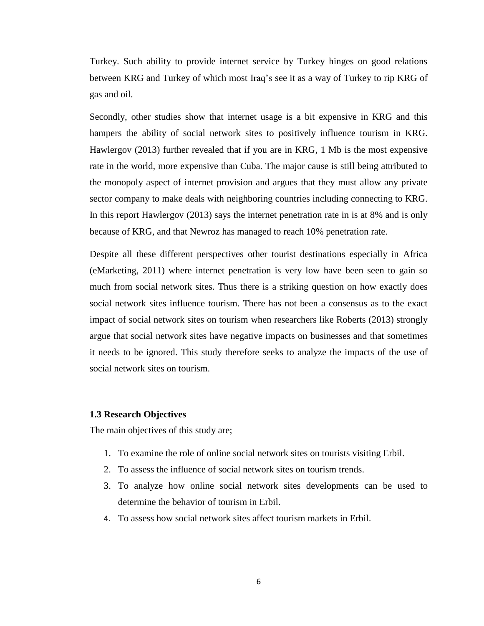Turkey. Such ability to provide internet service by Turkey hinges on good relations between KRG and Turkey of which most Iraq's see it as a way of Turkey to rip KRG of gas and oil.

Secondly, other studies show that internet usage is a bit expensive in KRG and this hampers the ability of social network sites to positively influence tourism in KRG. Hawlergov (2013) further revealed that if you are in KRG, 1 Mb is the most expensive rate in the world, more expensive than Cuba. The major cause is still being attributed to the monopoly aspect of internet provision and argues that they must allow any private sector company to make deals with neighboring countries including connecting to KRG. In this report Hawlergov (2013) says the internet penetration rate in is at 8% and is only because of KRG, and that Newroz has managed to reach 10% penetration rate.

Despite all these different perspectives other tourist destinations especially in Africa (eMarketing, 2011) where internet penetration is very low have been seen to gain so much from social network sites. Thus there is a striking question on how exactly does social network sites influence tourism. There has not been a consensus as to the exact impact of social network sites on tourism when researchers like Roberts (2013) strongly argue that social network sites have negative impacts on businesses and that sometimes it needs to be ignored. This study therefore seeks to analyze the impacts of the use of social network sites on tourism.

#### <span id="page-20-0"></span>**1.3 Research Objectives**

The main objectives of this study are;

- 1. To examine the role of online social network sites on tourists visiting Erbil.
- 2. To assess the influence of social network sites on tourism trends.
- 3. To analyze how online social network sites developments can be used to determine the behavior of tourism in Erbil.
- <span id="page-20-1"></span>4. To assess how social network sites affect tourism markets in Erbil.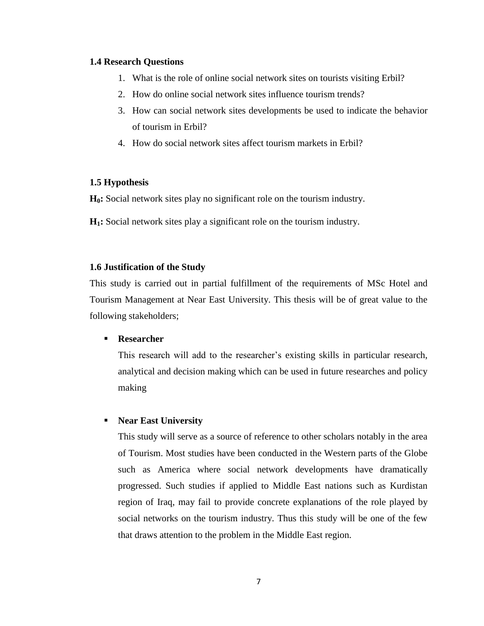#### **1.4 Research Questions**

- 1. What is the role of online social network sites on tourists visiting Erbil?
- 2. How do online social network sites influence tourism trends?
- 3. How can social network sites developments be used to indicate the behavior of tourism in Erbil?
- 4. How do social network sites affect tourism markets in Erbil?

#### <span id="page-21-0"></span>**1.5 Hypothesis**

**H0:** Social network sites play no significant role on the tourism industry.

**H1:** Social network sites play a significant role on the tourism industry.

#### <span id="page-21-1"></span>**1.6 Justification of the Study**

This study is carried out in partial fulfillment of the requirements of MSc Hotel and Tourism Management at Near East University. This thesis will be of great value to the following stakeholders;

#### **Researcher**

This research will add to the researcher's existing skills in particular research, analytical and decision making which can be used in future researches and policy making

#### **Near East University**

This study will serve as a source of reference to other scholars notably in the area of Tourism. Most studies have been conducted in the Western parts of the Globe such as America where social network developments have dramatically progressed. Such studies if applied to Middle East nations such as Kurdistan region of Iraq, may fail to provide concrete explanations of the role played by social networks on the tourism industry. Thus this study will be one of the few that draws attention to the problem in the Middle East region.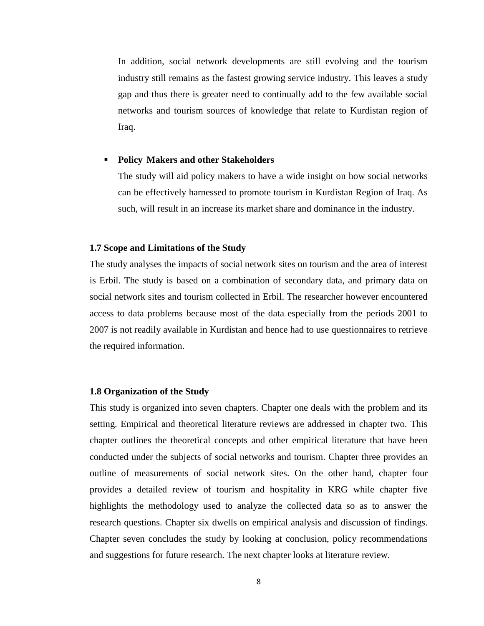In addition, social network developments are still evolving and the tourism industry still remains as the fastest growing service industry. This leaves a study gap and thus there is greater need to continually add to the few available social networks and tourism sources of knowledge that relate to Kurdistan region of Iraq.

#### **Policy Makers and other Stakeholders**

The study will aid policy makers to have a wide insight on how social networks can be effectively harnessed to promote tourism in Kurdistan Region of Iraq. As such, will result in an increase its market share and dominance in the industry.

#### <span id="page-22-0"></span>**1.7 Scope and Limitations of the Study**

The study analyses the impacts of social network sites on tourism and the area of interest is Erbil. The study is based on a combination of secondary data, and primary data on social network sites and tourism collected in Erbil. The researcher however encountered access to data problems because most of the data especially from the periods 2001 to 2007 is not readily available in Kurdistan and hence had to use questionnaires to retrieve the required information.

#### <span id="page-22-1"></span>**1.8 Organization of the Study**

This study is organized into seven chapters. Chapter one deals with the problem and its setting. Empirical and theoretical literature reviews are addressed in chapter two. This chapter outlines the theoretical concepts and other empirical literature that have been conducted under the subjects of social networks and tourism. Chapter three provides an outline of measurements of social network sites. On the other hand, chapter four provides a detailed review of tourism and hospitality in KRG while chapter five highlights the methodology used to analyze the collected data so as to answer the research questions. Chapter six dwells on empirical analysis and discussion of findings. Chapter seven concludes the study by looking at conclusion, policy recommendations and suggestions for future research. The next chapter looks at literature review.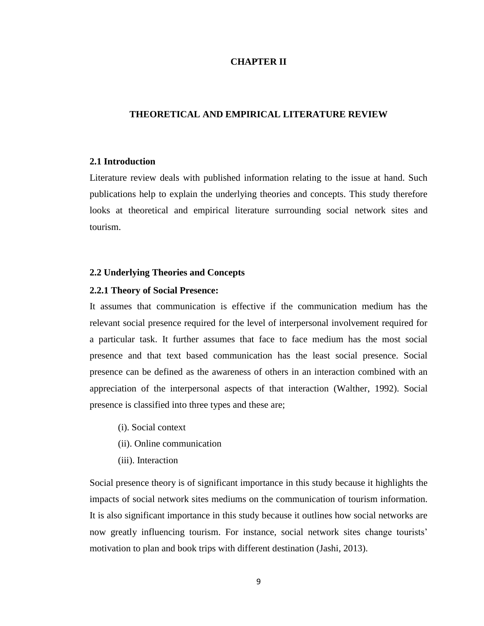#### **CHAPTER II**

#### <span id="page-23-1"></span><span id="page-23-0"></span>**THEORETICAL AND EMPIRICAL LITERATURE REVIEW**

#### <span id="page-23-2"></span>**2.1 Introduction**

Literature review deals with published information relating to the issue at hand. Such publications help to explain the underlying theories and concepts. This study therefore looks at theoretical and empirical literature surrounding social network sites and tourism.

#### <span id="page-23-3"></span>**2.2 Underlying Theories and Concepts**

#### <span id="page-23-4"></span>**2.2.1 Theory of Social Presence:**

It assumes that communication is effective if the communication medium has the relevant social presence required for the level of interpersonal involvement required for a particular task. It further assumes that face to face medium has the most social presence and that text based communication has the least social presence. Social presence can be defined as the awareness of others in an interaction combined with an appreciation of the interpersonal aspects of that interaction (Walther, 1992). Social presence is classified into three types and these are;

- (i). Social context
- (ii). Online communication
- (iii). Interaction

Social presence theory is of significant importance in this study because it highlights the impacts of social network sites mediums on the communication of tourism information. It is also significant importance in this study because it outlines how social networks are now greatly influencing tourism. For instance, social network sites change tourists' motivation to plan and book trips with different destination (Jashi, 2013).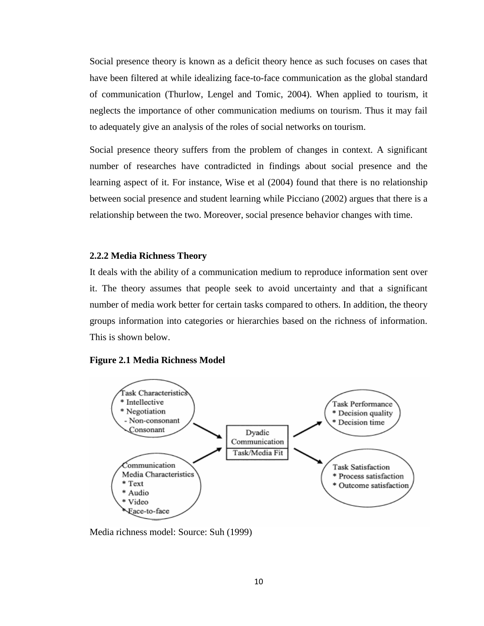Social presence theory is known as a deficit theory hence as such focuses on cases that have been filtered at while idealizing face-to-face communication as the global standard of communication (Thurlow, Lengel and Tomic, 2004). When applied to tourism, it neglects the importance of other communication mediums on tourism. Thus it may fail to adequately give an analysis of the roles of social networks on tourism.

Social presence theory suffers from the problem of changes in context. A significant number of researches have contradicted in findings about social presence and the learning aspect of it. For instance, Wise et al (2004) found that there is no relationship between social presence and student learning while Picciano (2002) argues that there is a relationship between the two. Moreover, social presence behavior changes with time.

#### <span id="page-24-0"></span>**2.2.2 Media Richness Theory**

It deals with the ability of a communication medium to reproduce information sent over it. The theory assumes that people seek to avoid uncertainty and that a significant number of media work better for certain tasks compared to others. In addition, the theory groups information into categories or hierarchies based on the richness of information. This is shown below.

#### **Figure 2.1 Media Richness Model**



Media richness model: Source: Suh (1999)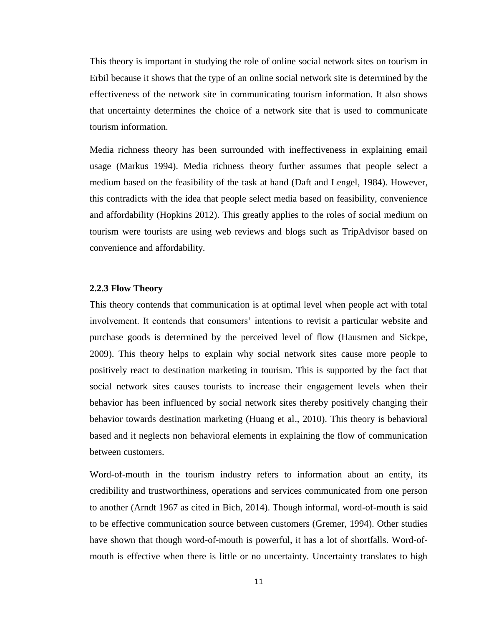This theory is important in studying the role of online social network sites on tourism in Erbil because it shows that the type of an online social network site is determined by the effectiveness of the network site in communicating tourism information. It also shows that uncertainty determines the choice of a network site that is used to communicate tourism information.

Media richness theory has been surrounded with ineffectiveness in explaining email usage (Markus 1994). Media richness theory further assumes that people select a medium based on the feasibility of the task at hand (Daft and Lengel, 1984). However, this contradicts with the idea that people select media based on feasibility, convenience and affordability (Hopkins 2012). This greatly applies to the roles of social medium on tourism were tourists are using web reviews and blogs such as TripAdvisor based on convenience and affordability.

#### <span id="page-25-0"></span>**2.2.3 Flow Theory**

This theory contends that communication is at optimal level when people act with total involvement. It contends that consumers' intentions to revisit a particular website and purchase goods is determined by the perceived level of flow (Hausmen and Sickpe, 2009). This theory helps to explain why social network sites cause more people to positively react to destination marketing in tourism. This is supported by the fact that social network sites causes tourists to increase their engagement levels when their behavior has been influenced by social network sites thereby positively changing their behavior towards destination marketing (Huang et al., 2010). This theory is behavioral based and it neglects non behavioral elements in explaining the flow of communication between customers.

Word-of-mouth in the tourism industry refers to information about an entity, its credibility and trustworthiness, operations and services communicated from one person to another (Arndt 1967 as cited in Bich, 2014). Though informal, word-of-mouth is said to be effective communication source between customers (Gremer, 1994). Other studies have shown that though word-of-mouth is powerful, it has a lot of shortfalls. Word-ofmouth is effective when there is little or no uncertainty. Uncertainty translates to high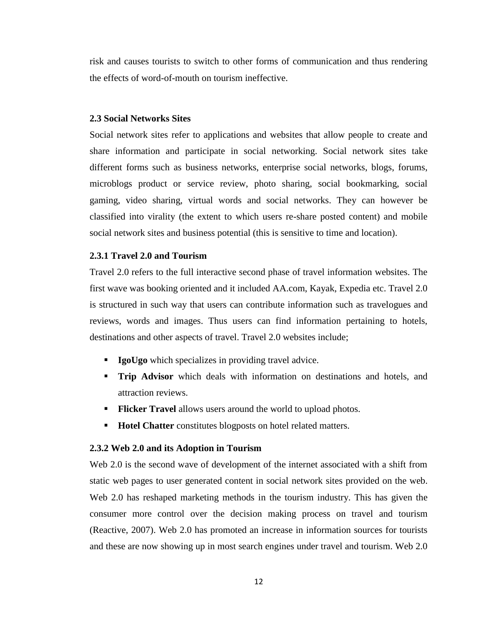risk and causes tourists to switch to other forms of communication and thus rendering the effects of word-of-mouth on tourism ineffective.

#### <span id="page-26-0"></span>**2.3 Social Networks Sites**

Social network sites refer to applications and websites that allow people to create and share information and participate in social networking. Social network sites take different forms such as business networks, enterprise social networks, blogs, forums, microblogs product or service review, photo sharing, social bookmarking, social gaming, video sharing, virtual words and social networks. They can however be classified into virality (the extent to which users re-share posted content) and mobile social network sites and business potential (this is sensitive to time and location).

#### <span id="page-26-1"></span>**2.3.1 Travel 2.0 and Tourism**

Travel 2.0 refers to the full interactive second phase of travel information websites. The first wave was booking oriented and it included AA.com, Kayak, Expedia etc. Travel 2.0 is structured in such way that users can contribute information such as travelogues and reviews, words and images. Thus users can find information pertaining to hotels, destinations and other aspects of travel. Travel 2.0 websites include;

- **IgoUgo** which specializes in providing travel advice.
- **Trip Advisor** which deals with information on destinations and hotels, and attraction reviews.
- **Flicker Travel** allows users around the world to upload photos.
- **Hotel Chatter** constitutes blogposts on hotel related matters.

#### <span id="page-26-2"></span>**2.3.2 Web 2.0 and its Adoption in Tourism**

Web 2.0 is the second wave of development of the internet associated with a shift from static web pages to user generated content in social network sites provided on the web. Web 2.0 has reshaped marketing methods in the tourism industry. This has given the consumer more control over the decision making process on travel and tourism (Reactive, 2007). Web 2.0 has promoted an increase in information sources for tourists and these are now showing up in most search engines under travel and tourism. Web 2.0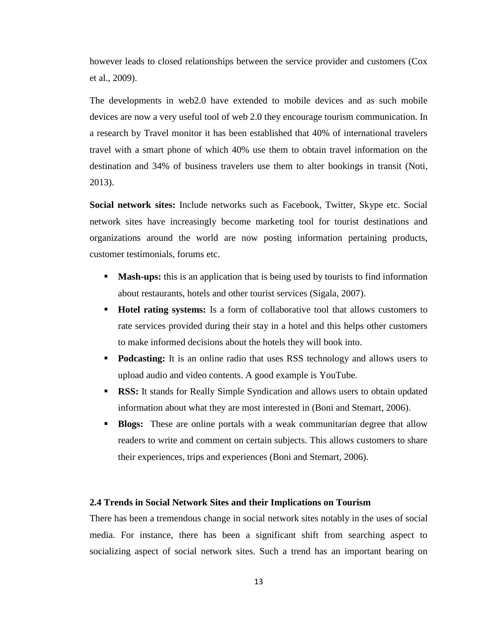however leads to closed relationships between the service provider and customers (Cox et al., 2009).

The developments in web2.0 have extended to mobile devices and as such mobile devices are now a very useful tool of web 2.0 they encourage tourism communication. In a research by Travel monitor it has been established that 40% of international travelers travel with a smart phone of which 40% use them to obtain travel information on the destination and 34% of business travelers use them to alter bookings in transit (Noti, 2013).

**Social network sites:** Include networks such as Facebook, Twitter, Skype etc. Social network sites have increasingly become marketing tool for tourist destinations and organizations around the world are now posting information pertaining products, customer testimonials, forums etc.

- **Mash-ups:** this is an application that is being used by tourists to find information about restaurants, hotels and other tourist services (Sigala, 2007).
- **Hotel rating systems:** Is a form of collaborative tool that allows customers to rate services provided during their stay in a hotel and this helps other customers to make informed decisions about the hotels they will book into.
- **Podcasting:** It is an online radio that uses RSS technology and allows users to upload audio and video contents. A good example is YouTube.
- **RSS:** It stands for Really Simple Syndication and allows users to obtain updated information about what they are most interested in (Boni and Stemart, 2006).
- **Blogs:** These are online portals with a weak communitarian degree that allow readers to write and comment on certain subjects. This allows customers to share their experiences, trips and experiences (Boni and Stemart, 2006).

#### <span id="page-27-0"></span>**2.4 Trends in Social Network Sites and their Implications on Tourism**

There has been a tremendous change in social network sites notably in the uses of social media. For instance, there has been a significant shift from searching aspect to socializing aspect of social network sites. Such a trend has an important bearing on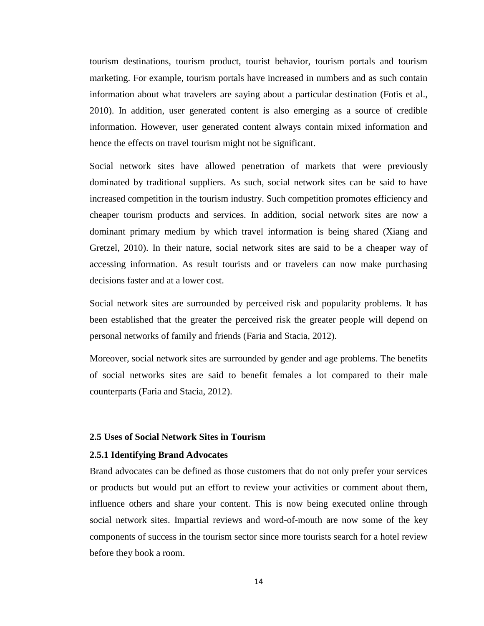tourism destinations, tourism product, tourist behavior, tourism portals and tourism marketing. For example, tourism portals have increased in numbers and as such contain information about what travelers are saying about a particular destination (Fotis et al., 2010). In addition, user generated content is also emerging as a source of credible information. However, user generated content always contain mixed information and hence the effects on travel tourism might not be significant.

Social network sites have allowed penetration of markets that were previously dominated by traditional suppliers. As such, social network sites can be said to have increased competition in the tourism industry. Such competition promotes efficiency and cheaper tourism products and services. In addition, social network sites are now a dominant primary medium by which travel information is being shared (Xiang and Gretzel, 2010). In their nature, social network sites are said to be a cheaper way of accessing information. As result tourists and or travelers can now make purchasing decisions faster and at a lower cost.

Social network sites are surrounded by perceived risk and popularity problems. It has been established that the greater the perceived risk the greater people will depend on personal networks of family and friends (Faria and Stacia, 2012).

Moreover, social network sites are surrounded by gender and age problems. The benefits of social networks sites are said to benefit females a lot compared to their male counterparts (Faria and Stacia, 2012).

#### <span id="page-28-0"></span>**2.5 Uses of Social Network Sites in Tourism**

#### <span id="page-28-1"></span>**2.5.1 Identifying Brand Advocates**

Brand advocates can be defined as those customers that do not only prefer your services or products but would put an effort to review your activities or comment about them, influence others and share your content. This is now being executed online through social network sites. Impartial reviews and word-of-mouth are now some of the key components of success in the tourism sector since more tourists search for a hotel review before they book a room.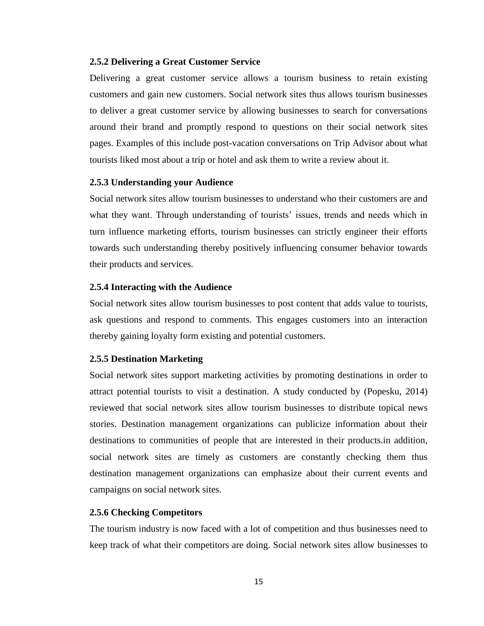#### <span id="page-29-0"></span>**2.5.2 Delivering a Great Customer Service**

Delivering a great customer service allows a tourism business to retain existing customers and gain new customers. Social network sites thus allows tourism businesses to deliver a great customer service by allowing businesses to search for conversations around their brand and promptly respond to questions on their social network sites pages. Examples of this include post-vacation conversations on Trip Advisor about what tourists liked most about a trip or hotel and ask them to write a review about it.

#### <span id="page-29-1"></span>**2.5.3 Understanding your Audience**

Social network sites allow tourism businesses to understand who their customers are and what they want. Through understanding of tourists' issues, trends and needs which in turn influence marketing efforts, tourism businesses can strictly engineer their efforts towards such understanding thereby positively influencing consumer behavior towards their products and services.

#### <span id="page-29-2"></span>**2.5.4 Interacting with the Audience**

Social network sites allow tourism businesses to post content that adds value to tourists, ask questions and respond to comments. This engages customers into an interaction thereby gaining loyalty form existing and potential customers.

#### <span id="page-29-3"></span>**2.5.5 Destination Marketing**

Social network sites support marketing activities by promoting destinations in order to attract potential tourists to visit a destination. A study conducted by (Popesku, 2014) reviewed that social network sites allow tourism businesses to distribute topical news stories. Destination management organizations can publicize information about their destinations to communities of people that are interested in their products.in addition, social network sites are timely as customers are constantly checking them thus destination management organizations can emphasize about their current events and campaigns on social network sites.

#### <span id="page-29-4"></span>**2.5.6 Checking Competitors**

The tourism industry is now faced with a lot of competition and thus businesses need to keep track of what their competitors are doing. Social network sites allow businesses to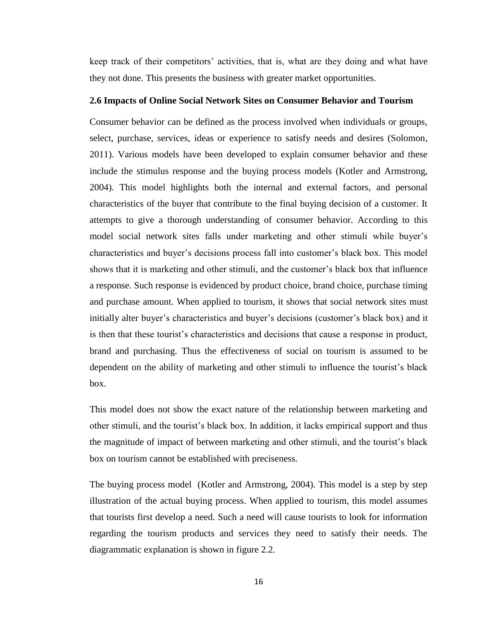<span id="page-30-0"></span>keep track of their competitors' activities, that is, what are they doing and what have they not done. This presents the business with greater market opportunities.

#### **2.6 Impacts of Online Social Network Sites on Consumer Behavior and Tourism**

Consumer behavior can be defined as the process involved when individuals or groups, select, purchase, services, ideas or experience to satisfy needs and desires (Solomon, 2011). Various models have been developed to explain consumer behavior and these include the stimulus response and the buying process models (Kotler and Armstrong, 2004). This model highlights both the internal and external factors, and personal characteristics of the buyer that contribute to the final buying decision of a customer. It attempts to give a thorough understanding of consumer behavior. According to this model social network sites falls under marketing and other stimuli while buyer's characteristics and buyer's decisions process fall into customer's black box. This model shows that it is marketing and other stimuli, and the customer's black box that influence a response. Such response is evidenced by product choice, brand choice, purchase timing and purchase amount. When applied to tourism, it shows that social network sites must initially alter buyer's characteristics and buyer's decisions (customer's black box) and it is then that these tourist's characteristics and decisions that cause a response in product, brand and purchasing. Thus the effectiveness of social on tourism is assumed to be dependent on the ability of marketing and other stimuli to influence the tourist's black box.

This model does not show the exact nature of the relationship between marketing and other stimuli, and the tourist's black box. In addition, it lacks empirical support and thus the magnitude of impact of between marketing and other stimuli, and the tourist's black box on tourism cannot be established with preciseness.

The buying process model (Kotler and Armstrong, 2004). This model is a step by step illustration of the actual buying process. When applied to tourism, this model assumes that tourists first develop a need. Such a need will cause tourists to look for information regarding the tourism products and services they need to satisfy their needs. The diagrammatic explanation is shown in figure 2.2.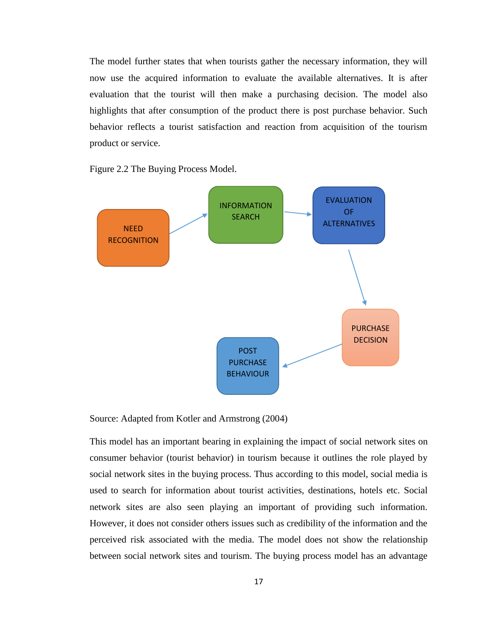The model further states that when tourists gather the necessary information, they will now use the acquired information to evaluate the available alternatives. It is after evaluation that the tourist will then make a purchasing decision. The model also highlights that after consumption of the product there is post purchase behavior. Such behavior reflects a tourist satisfaction and reaction from acquisition of the tourism product or service.

Figure 2.2 The Buying Process Model.



Source: Adapted from Kotler and Armstrong (2004)

This model has an important bearing in explaining the impact of social network sites on consumer behavior (tourist behavior) in tourism because it outlines the role played by social network sites in the buying process. Thus according to this model, social media is used to search for information about tourist activities, destinations, hotels etc. Social network sites are also seen playing an important of providing such information. However, it does not consider others issues such as credibility of the information and the perceived risk associated with the media. The model does not show the relationship between social network sites and tourism. The buying process model has an advantage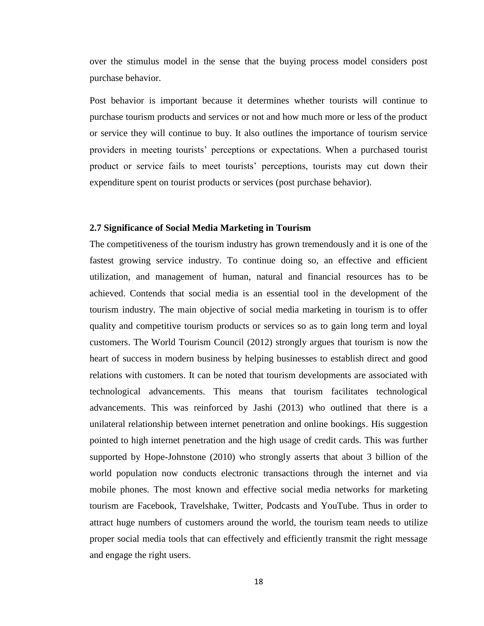over the stimulus model in the sense that the buying process model considers post purchase behavior.

Post behavior is important because it determines whether tourists will continue to purchase tourism products and services or not and how much more or less of the product or service they will continue to buy. It also outlines the importance of tourism service providers in meeting tourists' perceptions or expectations. When a purchased tourist product or service fails to meet tourists' perceptions, tourists may cut down their expenditure spent on tourist products or services (post purchase behavior).

#### <span id="page-32-0"></span>**2.7 Significance of Social Media Marketing in Tourism**

The competitiveness of the tourism industry has grown tremendously and it is one of the fastest growing service industry. To continue doing so, an effective and efficient utilization, and management of human, natural and financial resources has to be achieved. Contends that social media is an essential tool in the development of the tourism industry. The main objective of social media marketing in tourism is to offer quality and competitive tourism products or services so as to gain long term and loyal customers. The World Tourism Council (2012) strongly argues that tourism is now the heart of success in modern business by helping businesses to establish direct and good relations with customers. It can be noted that tourism developments are associated with technological advancements. This means that tourism facilitates technological advancements. This was reinforced by Jashi (2013) who outlined that there is a unilateral relationship between internet penetration and online bookings. His suggestion pointed to high internet penetration and the high usage of credit cards. This was further supported by Hope-Johnstone (2010) who strongly asserts that about 3 billion of the world population now conducts electronic transactions through the internet and via mobile phones. The most known and effective social media networks for marketing tourism are Facebook, Travelshake, Twitter, Podcasts and YouTube. Thus in order to attract huge numbers of customers around the world, the tourism team needs to utilize proper social media tools that can effectively and efficiently transmit the right message and engage the right users.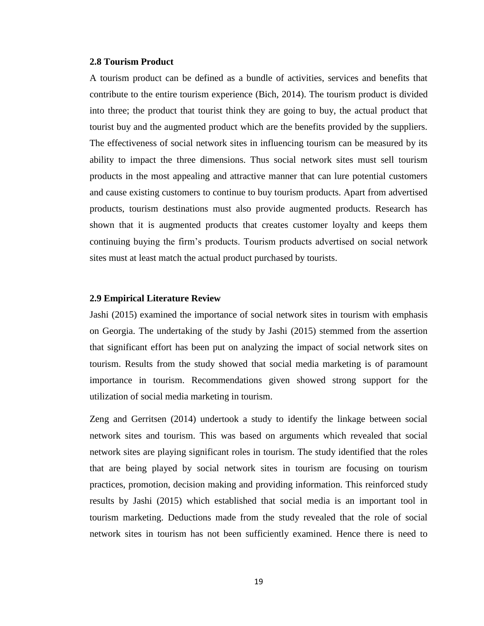#### <span id="page-33-0"></span>**2.8 Tourism Product**

A tourism product can be defined as a bundle of activities, services and benefits that contribute to the entire tourism experience (Bich, 2014). The tourism product is divided into three; the product that tourist think they are going to buy, the actual product that tourist buy and the augmented product which are the benefits provided by the suppliers. The effectiveness of social network sites in influencing tourism can be measured by its ability to impact the three dimensions. Thus social network sites must sell tourism products in the most appealing and attractive manner that can lure potential customers and cause existing customers to continue to buy tourism products. Apart from advertised products, tourism destinations must also provide augmented products. Research has shown that it is augmented products that creates customer loyalty and keeps them continuing buying the firm's products. Tourism products advertised on social network sites must at least match the actual product purchased by tourists.

#### <span id="page-33-1"></span>**2.9 Empirical Literature Review**

Jashi (2015) examined the importance of social network sites in tourism with emphasis on Georgia. The undertaking of the study by Jashi (2015) stemmed from the assertion that significant effort has been put on analyzing the impact of social network sites on tourism. Results from the study showed that social media marketing is of paramount importance in tourism. Recommendations given showed strong support for the utilization of social media marketing in tourism.

Zeng and Gerritsen (2014) undertook a study to identify the linkage between social network sites and tourism. This was based on arguments which revealed that social network sites are playing significant roles in tourism. The study identified that the roles that are being played by social network sites in tourism are focusing on tourism practices, promotion, decision making and providing information. This reinforced study results by Jashi (2015) which established that social media is an important tool in tourism marketing. Deductions made from the study revealed that the role of social network sites in tourism has not been sufficiently examined. Hence there is need to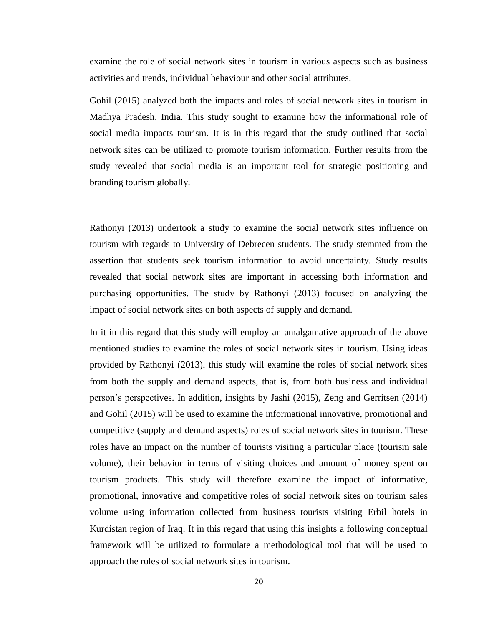examine the role of social network sites in tourism in various aspects such as business activities and trends, individual behaviour and other social attributes.

Gohil (2015) analyzed both the impacts and roles of social network sites in tourism in Madhya Pradesh, India. This study sought to examine how the informational role of social media impacts tourism. It is in this regard that the study outlined that social network sites can be utilized to promote tourism information. Further results from the study revealed that social media is an important tool for strategic positioning and branding tourism globally.

Rathonyi (2013) undertook a study to examine the social network sites influence on tourism with regards to University of Debrecen students. The study stemmed from the assertion that students seek tourism information to avoid uncertainty. Study results revealed that social network sites are important in accessing both information and purchasing opportunities. The study by Rathonyi (2013) focused on analyzing the impact of social network sites on both aspects of supply and demand.

In it in this regard that this study will employ an amalgamative approach of the above mentioned studies to examine the roles of social network sites in tourism. Using ideas provided by Rathonyi (2013), this study will examine the roles of social network sites from both the supply and demand aspects, that is, from both business and individual person's perspectives. In addition, insights by Jashi (2015), Zeng and Gerritsen (2014) and Gohil (2015) will be used to examine the informational innovative, promotional and competitive (supply and demand aspects) roles of social network sites in tourism. These roles have an impact on the number of tourists visiting a particular place (tourism sale volume), their behavior in terms of visiting choices and amount of money spent on tourism products. This study will therefore examine the impact of informative, promotional, innovative and competitive roles of social network sites on tourism sales volume using information collected from business tourists visiting Erbil hotels in Kurdistan region of Iraq. It in this regard that using this insights a following conceptual framework will be utilized to formulate a methodological tool that will be used to approach the roles of social network sites in tourism.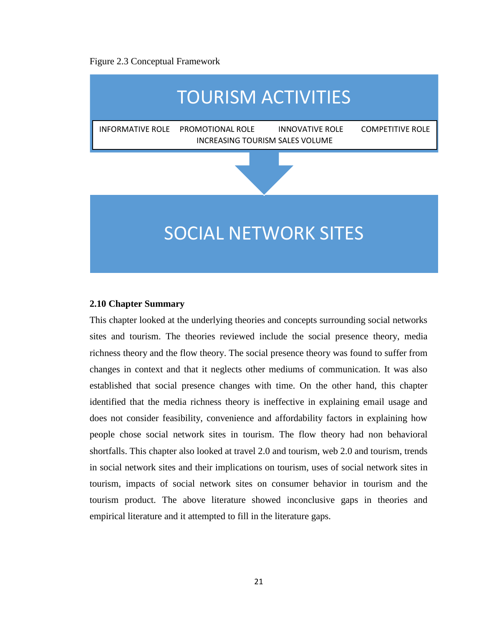#### Figure 2.3 Conceptual Framework



#### <span id="page-35-0"></span>**2.10 Chapter Summary**

This chapter looked at the underlying theories and concepts surrounding social networks sites and tourism. The theories reviewed include the social presence theory, media richness theory and the flow theory. The social presence theory was found to suffer from changes in context and that it neglects other mediums of communication. It was also established that social presence changes with time. On the other hand, this chapter identified that the media richness theory is ineffective in explaining email usage and does not consider feasibility, convenience and affordability factors in explaining how people chose social network sites in tourism. The flow theory had non behavioral shortfalls. This chapter also looked at travel 2.0 and tourism, web 2.0 and tourism, trends in social network sites and their implications on tourism, uses of social network sites in tourism, impacts of social network sites on consumer behavior in tourism and the tourism product. The above literature showed inconclusive gaps in theories and empirical literature and it attempted to fill in the literature gaps.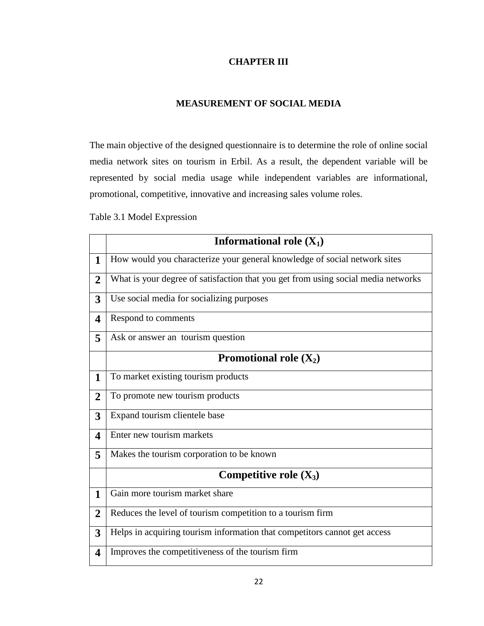# **CHAPTER III**

## **MEASUREMENT OF SOCIAL MEDIA**

The main objective of the designed questionnaire is to determine the role of online social media network sites on tourism in Erbil. As a result, the dependent variable will be represented by social media usage while independent variables are informational, promotional, competitive, innovative and increasing sales volume roles.

Table 3.1 Model Expression

|                         | <b>Informational role <math>(X_1)</math></b>                                      |
|-------------------------|-----------------------------------------------------------------------------------|
|                         |                                                                                   |
| $\mathbf{1}$            | How would you characterize your general knowledge of social network sites         |
| $\overline{2}$          | What is your degree of satisfaction that you get from using social media networks |
| 3                       | Use social media for socializing purposes                                         |
| $\overline{\mathbf{4}}$ | Respond to comments                                                               |
| 5                       | Ask or answer an tourism question                                                 |
|                         | Promotional role $(X_2)$                                                          |
| 1                       | To market existing tourism products                                               |
| $\overline{2}$          | To promote new tourism products                                                   |
| 3                       | Expand tourism clientele base                                                     |
| $\overline{\mathbf{4}}$ | Enter new tourism markets                                                         |
| 5                       | Makes the tourism corporation to be known                                         |
|                         | Competitive role $(X_3)$                                                          |
| $\mathbf{1}$            | Gain more tourism market share                                                    |
| $\overline{2}$          | Reduces the level of tourism competition to a tourism firm                        |
| 3                       | Helps in acquiring tourism information that competitors cannot get access         |
| 4                       | Improves the competitiveness of the tourism firm                                  |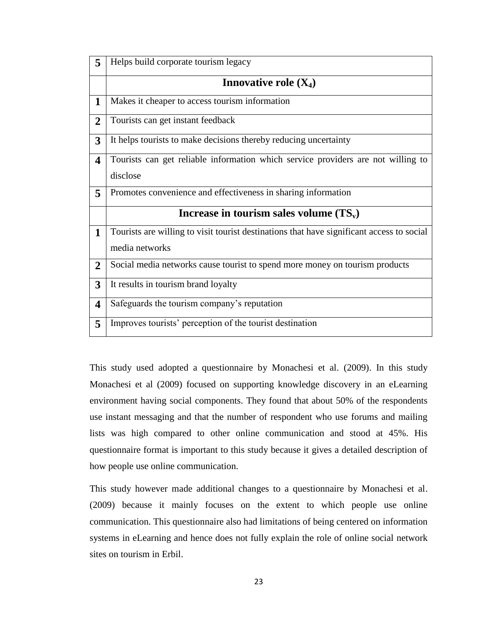| 5                       | Helps build corporate tourism legacy                                                      |
|-------------------------|-------------------------------------------------------------------------------------------|
|                         | Innovative role $(X_4)$                                                                   |
| $\mathbf 1$             | Makes it cheaper to access tourism information                                            |
| $\overline{2}$          | Tourists can get instant feedback                                                         |
| $\overline{3}$          | It helps tourists to make decisions thereby reducing uncertainty                          |
| $\overline{\mathbf{4}}$ | Tourists can get reliable information which service providers are not willing to          |
|                         | disclose                                                                                  |
| 5                       | Promotes convenience and effectiveness in sharing information                             |
|                         | Increase in tourism sales volume $(TS_v)$                                                 |
| $\mathbf{1}$            | Tourists are willing to visit tourist destinations that have significant access to social |
|                         | media networks                                                                            |
| $\overline{2}$          | Social media networks cause tourist to spend more money on tourism products               |
| $\overline{3}$          | It results in tourism brand loyalty                                                       |
| $\overline{\mathbf{4}}$ | Safeguards the tourism company's reputation                                               |
| 5                       | Improves tourists' perception of the tourist destination                                  |

This study used adopted a questionnaire by Monachesi et al. (2009). In this study Monachesi et al (2009) focused on supporting knowledge discovery in an eLearning environment having social components. They found that about 50% of the respondents use instant messaging and that the number of respondent who use forums and mailing lists was high compared to other online communication and stood at 45%. His questionnaire format is important to this study because it gives a detailed description of how people use online communication.

This study however made additional changes to a questionnaire by Monachesi et al. (2009) because it mainly focuses on the extent to which people use online communication. This questionnaire also had limitations of being centered on information systems in eLearning and hence does not fully explain the role of online social network sites on tourism in Erbil.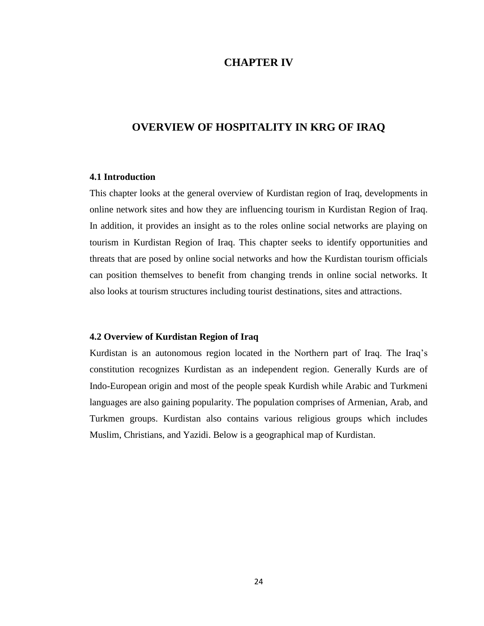# **CHAPTER IV**

# **OVERVIEW OF HOSPITALITY IN KRG OF IRAQ**

#### **4.1 Introduction**

This chapter looks at the general overview of Kurdistan region of Iraq, developments in online network sites and how they are influencing tourism in Kurdistan Region of Iraq. In addition, it provides an insight as to the roles online social networks are playing on tourism in Kurdistan Region of Iraq. This chapter seeks to identify opportunities and threats that are posed by online social networks and how the Kurdistan tourism officials can position themselves to benefit from changing trends in online social networks. It also looks at tourism structures including tourist destinations, sites and attractions.

## **4.2 Overview of Kurdistan Region of Iraq**

Kurdistan is an autonomous region located in the Northern part of Iraq. The Iraq's constitution recognizes Kurdistan as an independent region. Generally Kurds are of Indo-European origin and most of the people speak Kurdish while Arabic and Turkmeni languages are also gaining popularity. The population comprises of Armenian, Arab, and Turkmen groups. Kurdistan also contains various religious groups which includes Muslim, Christians, and Yazidi. Below is a geographical map of Kurdistan.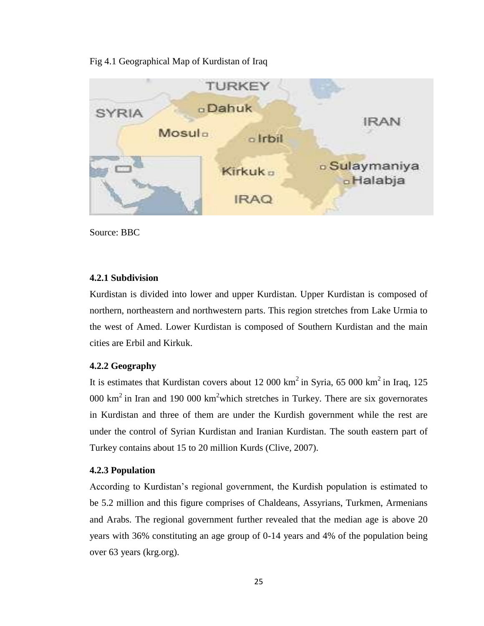## Fig 4.1 Geographical Map of Kurdistan of Iraq



Source: BBC

## **4.2.1 Subdivision**

Kurdistan is divided into lower and upper Kurdistan. Upper Kurdistan is composed of northern, northeastern and northwestern parts. This region stretches from Lake Urmia to the west of Amed. Lower Kurdistan is composed of Southern Kurdistan and the main cities are Erbil and Kirkuk.

## **4.2.2 Geography**

It is estimates that Kurdistan covers about 12 000  $km^2$  in Syria, 65 000  $km^2$  in Iraq, 125 000  $\text{km}^2$  in Iran and 190 000  $\text{km}^2$  which stretches in Turkey. There are six governorates in Kurdistan and three of them are under the Kurdish government while the rest are under the control of Syrian Kurdistan and Iranian Kurdistan. The south eastern part of Turkey contains about 15 to 20 million Kurds (Clive, 2007).

## **4.2.3 Population**

According to Kurdistan's regional government, the Kurdish population is estimated to be 5.2 million and this figure comprises of Chaldeans, Assyrians, Turkmen, Armenians and Arabs. The regional government further revealed that the median age is above 20 years with 36% constituting an age group of 0-14 years and 4% of the population being over 63 years (krg.org).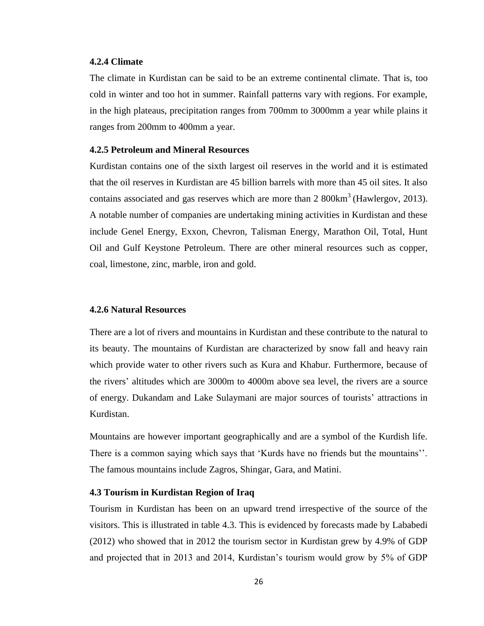## **4.2.4 Climate**

The climate in Kurdistan can be said to be an extreme continental climate. That is, too cold in winter and too hot in summer. Rainfall patterns vary with regions. For example, in the high plateaus, precipitation ranges from 700mm to 3000mm a year while plains it ranges from 200mm to 400mm a year.

## **4.2.5 Petroleum and Mineral Resources**

Kurdistan contains one of the sixth largest oil reserves in the world and it is estimated that the oil reserves in Kurdistan are 45 billion barrels with more than 45 oil sites. It also contains associated and gas reserves which are more than  $2800 \text{km}^3$  (Hawlergov, 2013). A notable number of companies are undertaking mining activities in Kurdistan and these include Genel Energy, Exxon, Chevron, Talisman Energy, Marathon Oil, Total, Hunt Oil and Gulf Keystone Petroleum. There are other mineral resources such as copper, coal, limestone, zinc, marble, iron and gold.

#### **4.2.6 Natural Resources**

There are a lot of rivers and mountains in Kurdistan and these contribute to the natural to its beauty. The mountains of Kurdistan are characterized by snow fall and heavy rain which provide water to other rivers such as Kura and Khabur. Furthermore, because of the rivers' altitudes which are 3000m to 4000m above sea level, the rivers are a source of energy. Dukandam and Lake Sulaymani are major sources of tourists' attractions in Kurdistan.

Mountains are however important geographically and are a symbol of the Kurdish life. There is a common saying which says that 'Kurds have no friends but the mountains''. The famous mountains include Zagros, Shingar, Gara, and Matini.

## **4.3 Tourism in Kurdistan Region of Iraq**

Tourism in Kurdistan has been on an upward trend irrespective of the source of the visitors. This is illustrated in table 4.3. This is evidenced by forecasts made by Lababedi (2012) who showed that in 2012 the tourism sector in Kurdistan grew by 4.9% of GDP and projected that in 2013 and 2014, Kurdistan's tourism would grow by 5% of GDP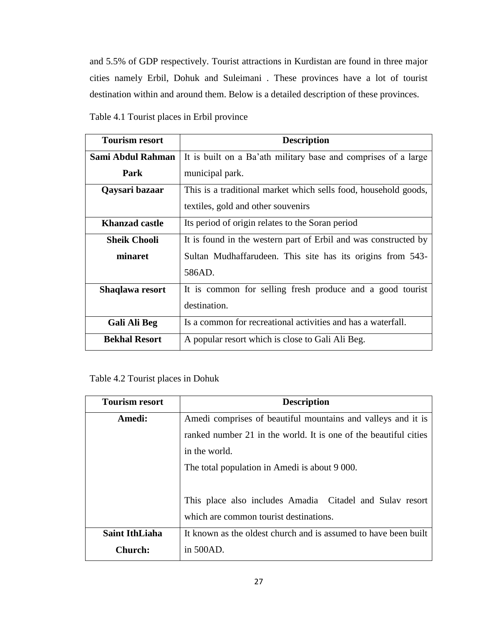and 5.5% of GDP respectively. Tourist attractions in Kurdistan are found in three major cities namely Erbil, Dohuk and Suleimani . These provinces have a lot of tourist destination within and around them. Below is a detailed description of these provinces.

| <b>Tourism resort</b> | <b>Description</b>                                              |
|-----------------------|-----------------------------------------------------------------|
| Sami Abdul Rahman     | It is built on a Ba'ath military base and comprises of a large  |
| Park                  | municipal park.                                                 |
| Qaysari bazaar        | This is a traditional market which sells food, household goods, |
|                       | textiles, gold and other souvenirs                              |
| Khanzad castle        | Its period of origin relates to the Soran period                |
| <b>Sheik Chooli</b>   | It is found in the western part of Erbil and was constructed by |
| minaret               | Sultan Mudhaffarudeen. This site has its origins from 543-      |
|                       | 586AD.                                                          |
| Shaqlawa resort       | It is common for selling fresh produce and a good tourist       |
|                       | destination.                                                    |
| <b>Gali Ali Beg</b>   | Is a common for recreational activities and has a waterfall.    |
| <b>Bekhal Resort</b>  | A popular resort which is close to Gali Ali Beg.                |

| Table 4.1 Tourist places in Erbil province |  |  |  |  |  |
|--------------------------------------------|--|--|--|--|--|
|--------------------------------------------|--|--|--|--|--|

| <b>Tourism resort</b> | <b>Description</b>                                               |  |  |  |  |  |
|-----------------------|------------------------------------------------------------------|--|--|--|--|--|
| Amedi:                | Amedi comprises of beautiful mountains and valleys and it is     |  |  |  |  |  |
|                       | ranked number 21 in the world. It is one of the beautiful cities |  |  |  |  |  |
|                       | in the world.                                                    |  |  |  |  |  |
|                       | The total population in Amedi is about 9 000.                    |  |  |  |  |  |
|                       |                                                                  |  |  |  |  |  |
|                       | This place also includes Amadia Citadel and Sulav resort         |  |  |  |  |  |
|                       | which are common tourist destinations.                           |  |  |  |  |  |
| <b>Saint IthLiaha</b> | It known as the oldest church and is assumed to have been built  |  |  |  |  |  |
| <b>Church:</b>        | in 500AD.                                                        |  |  |  |  |  |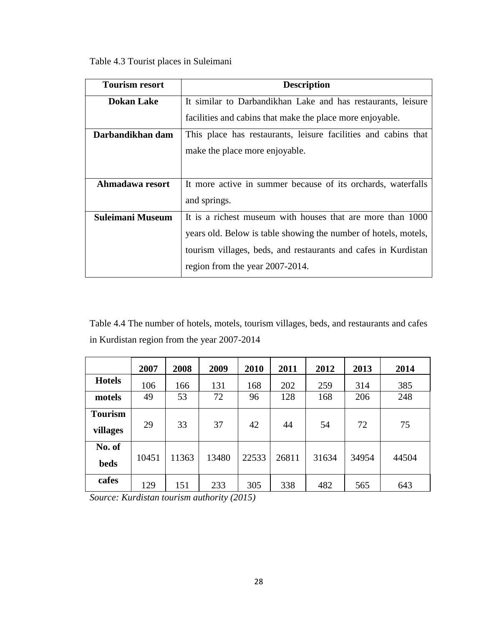Table 4.3 Tourist places in Suleimani

| <b>Tourism resort</b>   | <b>Description</b>                                              |
|-------------------------|-----------------------------------------------------------------|
| <b>Dokan Lake</b>       | It similar to Darbandikhan Lake and has restaurants, leisure    |
|                         | facilities and cabins that make the place more enjoyable.       |
| Darbandikhan dam        | This place has restaurants, leisure facilities and cabins that  |
|                         | make the place more enjoyable.                                  |
|                         |                                                                 |
| Ahmadawa resort         | It more active in summer because of its orchards, waterfalls    |
|                         | and springs.                                                    |
| <b>Suleimani Museum</b> | It is a richest museum with houses that are more than 1000      |
|                         | years old. Below is table showing the number of hotels, motels, |
|                         | tourism villages, beds, and restaurants and cafes in Kurdistan  |
|                         | region from the year 2007-2014.                                 |

Table 4.4 The number of hotels, motels, tourism villages, beds, and restaurants and cafes in Kurdistan region from the year 2007-2014

|                            | 2007  | 2008  | 2009  | 2010  | 2011  | 2012  | 2013  | 2014  |
|----------------------------|-------|-------|-------|-------|-------|-------|-------|-------|
| <b>Hotels</b>              | 106   | 166   | 131   | 168   | 202   | 259   | 314   | 385   |
| motels                     | 49    | 53    | 72    | 96    | 128   | 168   | 206   | 248   |
| <b>Tourism</b><br>villages | 29    | 33    | 37    | 42    | 44    | 54    | 72    | 75    |
| No. of<br><b>beds</b>      | 10451 | 11363 | 13480 | 22533 | 26811 | 31634 | 34954 | 44504 |
| cafes                      | 129   | 151   | 233   | 305   | 338   | 482   | 565   | 643   |

*Source: Kurdistan tourism authority (2015)*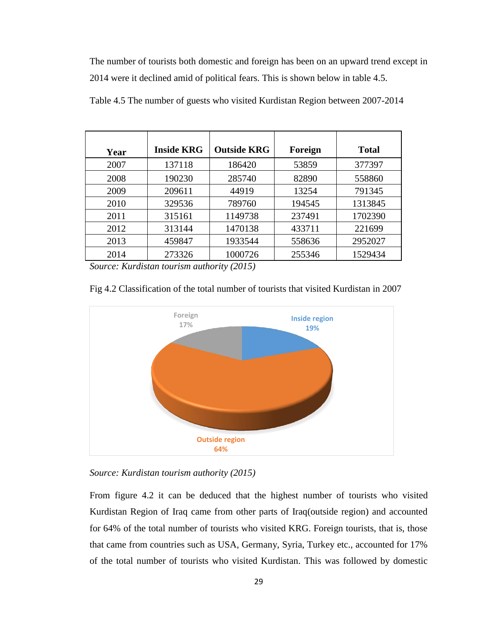The number of tourists both domestic and foreign has been on an upward trend except in 2014 were it declined amid of political fears. This is shown below in table 4.5.

| Year | <b>Inside KRG</b> | <b>Outside KRG</b> | Foreign | <b>Total</b> |
|------|-------------------|--------------------|---------|--------------|
| 2007 | 137118            | 186420             | 53859   | 377397       |
| 2008 | 190230            | 285740             | 82890   | 558860       |
| 2009 | 209611            | 44919              | 13254   | 791345       |
| 2010 | 329536            | 789760             | 194545  | 1313845      |
| 2011 | 315161            | 1149738            | 237491  | 1702390      |
| 2012 | 313144            | 1470138            | 433711  | 221699       |
| 2013 | 459847            | 1933544            | 558636  | 2952027      |
| 2014 | 273326            | 1000726            | 255346  | 1529434      |

Table 4.5 The number of guests who visited Kurdistan Region between 2007-2014

*Source: Kurdistan tourism authority (2015)*



Fig 4.2 Classification of the total number of tourists that visited Kurdistan in 2007

*Source: Kurdistan tourism authority (2015)*

From figure 4.2 it can be deduced that the highest number of tourists who visited Kurdistan Region of Iraq came from other parts of Iraq(outside region) and accounted for 64% of the total number of tourists who visited KRG. Foreign tourists, that is, those that came from countries such as USA, Germany, Syria, Turkey etc., accounted for 17% of the total number of tourists who visited Kurdistan. This was followed by domestic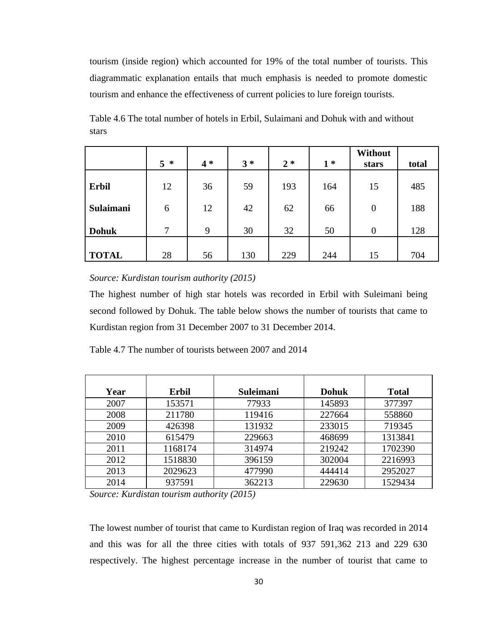tourism (inside region) which accounted for 19% of the total number of tourists. This diagrammatic explanation entails that much emphasis is needed to promote domestic tourism and enhance the effectiveness of current policies to lure foreign tourists.

Table 4.6 The total number of hotels in Erbil, Sulaimani and Dohuk with and without stars

|              | 5<br>∗       | $4 *$ | $3 *$ | $2 *$ | $1*$ | <b>Without</b><br>stars | total |
|--------------|--------------|-------|-------|-------|------|-------------------------|-------|
| <b>Erbil</b> | 12           | 36    | 59    | 193   | 164  | 15                      | 485   |
| Sulaimani    | 6            | 12    | 42    | 62    | 66   | $\overline{0}$          | 188   |
| <b>Dohuk</b> | $\mathbf{7}$ | 9     | 30    | 32    | 50   | $\overline{0}$          | 128   |
| <b>TOTAL</b> | 28           | 56    | 130   | 229   | 244  | 15                      | 704   |

*Source: Kurdistan tourism authority (2015)*

The highest number of high star hotels was recorded in Erbil with Suleimani being second followed by Dohuk. The table below shows the number of tourists that came to Kurdistan region from 31 December 2007 to 31 December 2014.

| Table 4.7 The number of tourists between 2007 and 2014 |  |
|--------------------------------------------------------|--|
|--------------------------------------------------------|--|

| Year | <b>Erbil</b> | <b>Suleimani</b> | <b>Dohuk</b> | <b>Total</b> |
|------|--------------|------------------|--------------|--------------|
| 2007 | 153571       | 77933            | 145893       | 377397       |
| 2008 | 211780       | 119416           | 227664       | 558860       |
| 2009 | 426398       | 131932           | 233015       | 719345       |
| 2010 | 615479       | 229663           | 468699       | 1313841      |
| 2011 | 1168174      | 314974           | 219242       | 1702390      |
| 2012 | 1518830      | 396159           | 302004       | 2216993      |
| 2013 | 2029623      | 477990           | 444414       | 2952027      |
| 2014 | 937591       | 362213           | 229630       | 1529434      |

*Source: Kurdistan tourism authority (2015)*

The lowest number of tourist that came to Kurdistan region of Iraq was recorded in 2014 and this was for all the three cities with totals of 937 591,362 213 and 229 630 respectively. The highest percentage increase in the number of tourist that came to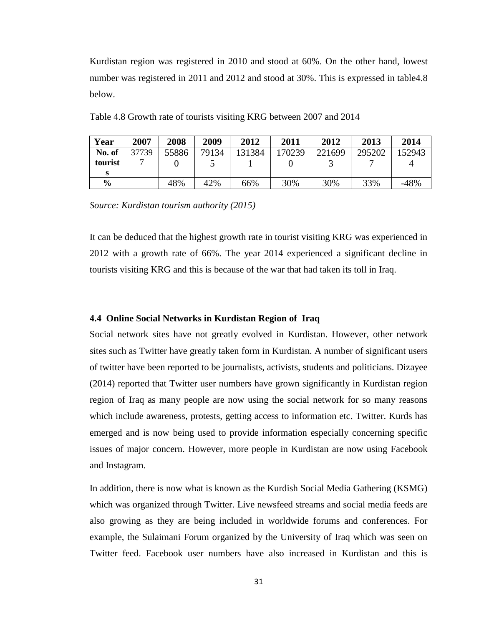Kurdistan region was registered in 2010 and stood at 60%. On the other hand, lowest number was registered in 2011 and 2012 and stood at 30%. This is expressed in table4.8 below.

| Year          | 2007  | 2008  | 2009  | 2012   | 2011   | 2012   | 2013   | 2014   |
|---------------|-------|-------|-------|--------|--------|--------|--------|--------|
| No. of        | 37739 | 55886 | 79134 | 131384 | 170239 | 221699 | 295202 | 152943 |
| tourist       |       |       |       |        |        |        |        |        |
|               |       |       |       |        |        |        |        |        |
| $\frac{6}{9}$ |       | 48%   | 42%   | 66%    | 30%    | 30%    | 33%    | $-48%$ |

Table 4.8 Growth rate of tourists visiting KRG between 2007 and 2014

*Source: Kurdistan tourism authority (2015)*

It can be deduced that the highest growth rate in tourist visiting KRG was experienced in 2012 with a growth rate of 66%. The year 2014 experienced a significant decline in tourists visiting KRG and this is because of the war that had taken its toll in Iraq.

## **4.4 Online Social Networks in Kurdistan Region of Iraq**

Social network sites have not greatly evolved in Kurdistan. However, other network sites such as Twitter have greatly taken form in Kurdistan. A number of significant users of twitter have been reported to be journalists, activists, students and politicians. Dizayee (2014) reported that Twitter user numbers have grown significantly in Kurdistan region region of Iraq as many people are now using the social network for so many reasons which include awareness, protests, getting access to information etc. Twitter. Kurds has emerged and is now being used to provide information especially concerning specific issues of major concern. However, more people in Kurdistan are now using Facebook and Instagram.

In addition, there is now what is known as the Kurdish Social Media Gathering (KSMG) which was organized through Twitter. Live newsfeed streams and social media feeds are also growing as they are being included in worldwide forums and conferences. For example, the Sulaimani Forum organized by the University of Iraq which was seen on Twitter feed. Facebook user numbers have also increased in Kurdistan and this is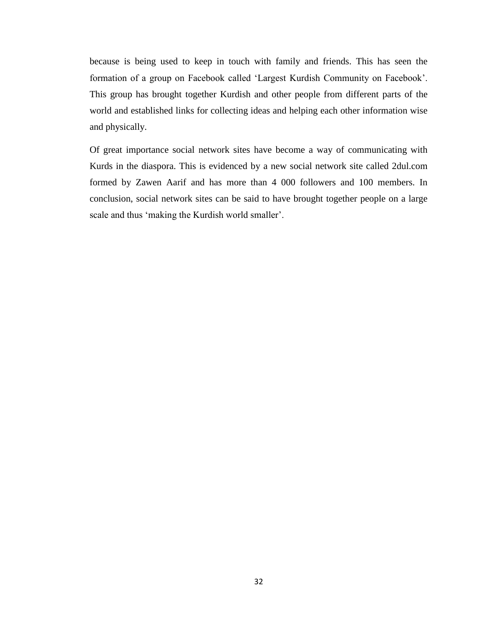because is being used to keep in touch with family and friends. This has seen the formation of a group on Facebook called 'Largest Kurdish Community on Facebook'. This group has brought together Kurdish and other people from different parts of the world and established links for collecting ideas and helping each other information wise and physically.

Of great importance social network sites have become a way of communicating with Kurds in the diaspora. This is evidenced by a new social network site called 2dul.com formed by Zawen Aarif and has more than 4 000 followers and 100 members. In conclusion, social network sites can be said to have brought together people on a large scale and thus 'making the Kurdish world smaller'.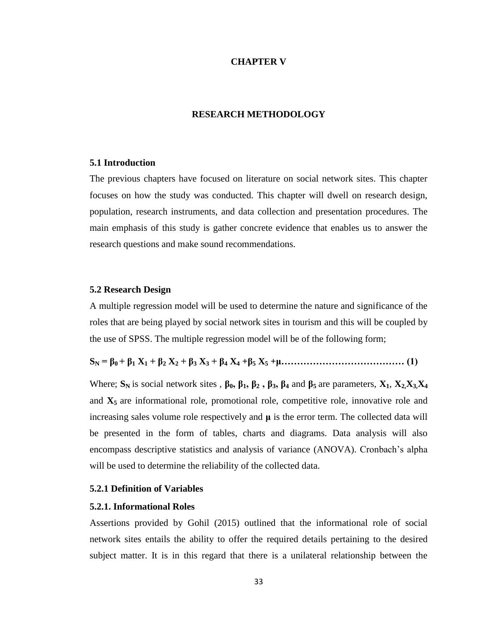#### **CHAPTER V**

## **RESEARCH METHODOLOGY**

#### **5.1 Introduction**

The previous chapters have focused on literature on social network sites. This chapter focuses on how the study was conducted. This chapter will dwell on research design, population, research instruments, and data collection and presentation procedures. The main emphasis of this study is gather concrete evidence that enables us to answer the research questions and make sound recommendations.

#### **5.2 Research Design**

A multiple regression model will be used to determine the nature and significance of the roles that are being played by social network sites in tourism and this will be coupled by the use of SPSS. The multiple regression model will be of the following form;

**S<sup>N</sup> = β0 + β<sup>1</sup> X<sup>1</sup> + β<sup>2</sup> X<sup>2</sup> + β<sup>3</sup> X<sup>3</sup> + β<sup>4</sup> X<sup>4</sup> +β<sup>5</sup> X<sup>5</sup> +μ………………………………… (1)**

Where;  $S_N$  is social network sites,  $\beta_0$ ,  $\beta_1$ ,  $\beta_2$ ,  $\beta_3$ ,  $\beta_4$  and  $\beta_5$  are parameters,  $X_1$ ,  $X_2X_3X_4$ and  $X_5$  are informational role, promotional role, competitive role, innovative role and increasing sales volume role respectively and **μ** is the error term. The collected data will be presented in the form of tables, charts and diagrams. Data analysis will also encompass descriptive statistics and analysis of variance (ANOVA). Cronbach's alpha will be used to determine the reliability of the collected data.

## **5.2.1 Definition of Variables**

## **5.2.1. Informational Roles**

Assertions provided by Gohil (2015) outlined that the informational role of social network sites entails the ability to offer the required details pertaining to the desired subject matter. It is in this regard that there is a unilateral relationship between the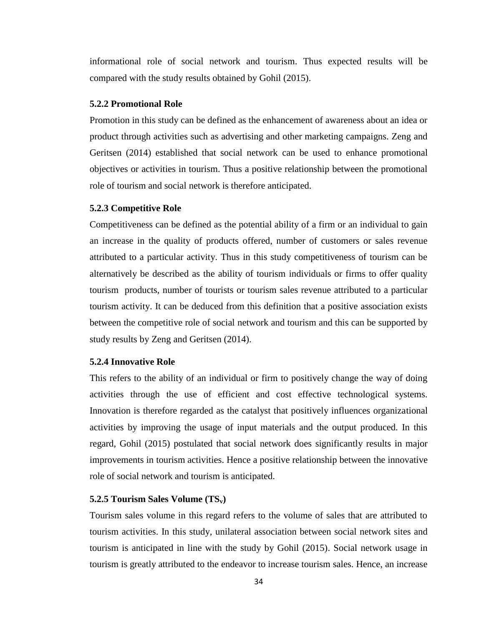informational role of social network and tourism. Thus expected results will be compared with the study results obtained by Gohil (2015).

## **5.2.2 Promotional Role**

Promotion in this study can be defined as the enhancement of awareness about an idea or product through activities such as advertising and other marketing campaigns. Zeng and Geritsen (2014) established that social network can be used to enhance promotional objectives or activities in tourism. Thus a positive relationship between the promotional role of tourism and social network is therefore anticipated.

## **5.2.3 Competitive Role**

Competitiveness can be defined as the potential ability of a firm or an individual to gain an increase in the quality of products offered, number of customers or sales revenue attributed to a particular activity. Thus in this study competitiveness of tourism can be alternatively be described as the ability of tourism individuals or firms to offer quality tourism products, number of tourists or tourism sales revenue attributed to a particular tourism activity. It can be deduced from this definition that a positive association exists between the competitive role of social network and tourism and this can be supported by study results by Zeng and Geritsen (2014).

## **5.2.4 Innovative Role**

This refers to the ability of an individual or firm to positively change the way of doing activities through the use of efficient and cost effective technological systems. Innovation is therefore regarded as the catalyst that positively influences organizational activities by improving the usage of input materials and the output produced. In this regard, Gohil (2015) postulated that social network does significantly results in major improvements in tourism activities. Hence a positive relationship between the innovative role of social network and tourism is anticipated.

#### **5.2.5 Tourism Sales Volume (TSv)**

Tourism sales volume in this regard refers to the volume of sales that are attributed to tourism activities. In this study, unilateral association between social network sites and tourism is anticipated in line with the study by Gohil (2015). Social network usage in tourism is greatly attributed to the endeavor to increase tourism sales. Hence, an increase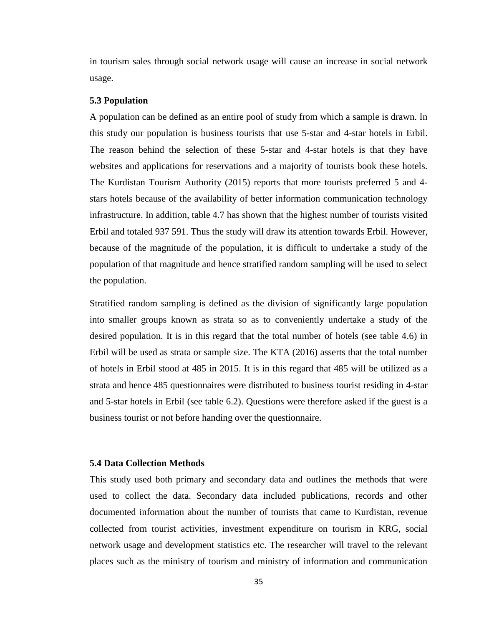in tourism sales through social network usage will cause an increase in social network usage.

#### **5.3 Population**

A population can be defined as an entire pool of study from which a sample is drawn. In this study our population is business tourists that use 5-star and 4-star hotels in Erbil. The reason behind the selection of these 5-star and 4-star hotels is that they have websites and applications for reservations and a majority of tourists book these hotels. The Kurdistan Tourism Authority (2015) reports that more tourists preferred 5 and 4 stars hotels because of the availability of better information communication technology infrastructure. In addition, table 4.7 has shown that the highest number of tourists visited Erbil and totaled 937 591. Thus the study will draw its attention towards Erbil. However, because of the magnitude of the population, it is difficult to undertake a study of the population of that magnitude and hence stratified random sampling will be used to select the population.

Stratified random sampling is defined as the division of significantly large population into smaller groups known as strata so as to conveniently undertake a study of the desired population. It is in this regard that the total number of hotels (see table 4.6) in Erbil will be used as strata or sample size. The KTA (2016) asserts that the total number of hotels in Erbil stood at 485 in 2015. It is in this regard that 485 will be utilized as a strata and hence 485 questionnaires were distributed to business tourist residing in 4-star and 5-star hotels in Erbil (see table 6.2). Questions were therefore asked if the guest is a business tourist or not before handing over the questionnaire.

#### **5.4 Data Collection Methods**

This study used both primary and secondary data and outlines the methods that were used to collect the data. Secondary data included publications, records and other documented information about the number of tourists that came to Kurdistan, revenue collected from tourist activities, investment expenditure on tourism in KRG, social network usage and development statistics etc. The researcher will travel to the relevant places such as the ministry of tourism and ministry of information and communication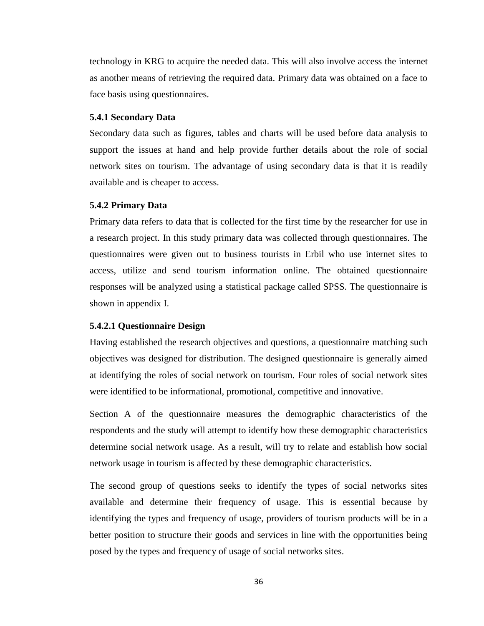technology in KRG to acquire the needed data. This will also involve access the internet as another means of retrieving the required data. Primary data was obtained on a face to face basis using questionnaires.

## **5.4.1 Secondary Data**

Secondary data such as figures, tables and charts will be used before data analysis to support the issues at hand and help provide further details about the role of social network sites on tourism. The advantage of using secondary data is that it is readily available and is cheaper to access.

## **5.4.2 Primary Data**

Primary data refers to data that is collected for the first time by the researcher for use in a research project. In this study primary data was collected through questionnaires. The questionnaires were given out to business tourists in Erbil who use internet sites to access, utilize and send tourism information online. The obtained questionnaire responses will be analyzed using a statistical package called SPSS. The questionnaire is shown in appendix I.

## **5.4.2.1 Questionnaire Design**

Having established the research objectives and questions, a questionnaire matching such objectives was designed for distribution. The designed questionnaire is generally aimed at identifying the roles of social network on tourism. Four roles of social network sites were identified to be informational, promotional, competitive and innovative.

Section A of the questionnaire measures the demographic characteristics of the respondents and the study will attempt to identify how these demographic characteristics determine social network usage. As a result, will try to relate and establish how social network usage in tourism is affected by these demographic characteristics.

The second group of questions seeks to identify the types of social networks sites available and determine their frequency of usage. This is essential because by identifying the types and frequency of usage, providers of tourism products will be in a better position to structure their goods and services in line with the opportunities being posed by the types and frequency of usage of social networks sites.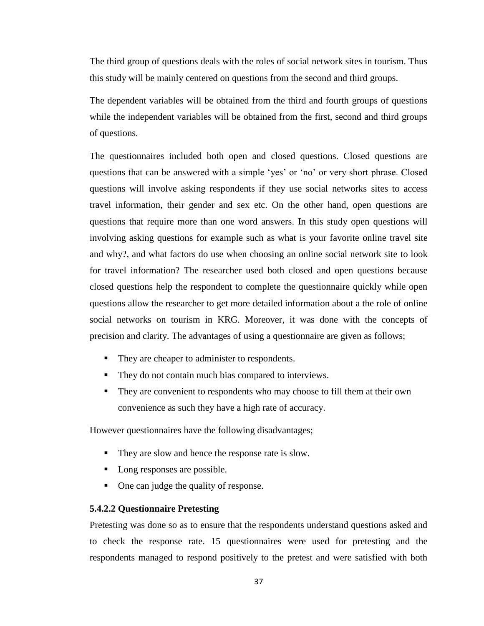The third group of questions deals with the roles of social network sites in tourism. Thus this study will be mainly centered on questions from the second and third groups.

The dependent variables will be obtained from the third and fourth groups of questions while the independent variables will be obtained from the first, second and third groups of questions.

The questionnaires included both open and closed questions. Closed questions are questions that can be answered with a simple 'yes' or 'no' or very short phrase. Closed questions will involve asking respondents if they use social networks sites to access travel information, their gender and sex etc. On the other hand, open questions are questions that require more than one word answers. In this study open questions will involving asking questions for example such as what is your favorite online travel site and why?, and what factors do use when choosing an online social network site to look for travel information? The researcher used both closed and open questions because closed questions help the respondent to complete the questionnaire quickly while open questions allow the researcher to get more detailed information about a the role of online social networks on tourism in KRG. Moreover, it was done with the concepts of precision and clarity. The advantages of using a questionnaire are given as follows;

- They are cheaper to administer to respondents.
- They do not contain much bias compared to interviews.
- They are convenient to respondents who may choose to fill them at their own convenience as such they have a high rate of accuracy.

However questionnaires have the following disadvantages;

- They are slow and hence the response rate is slow.
- Long responses are possible.
- One can judge the quality of response.

## **5.4.2.2 Questionnaire Pretesting**

Pretesting was done so as to ensure that the respondents understand questions asked and to check the response rate. 15 questionnaires were used for pretesting and the respondents managed to respond positively to the pretest and were satisfied with both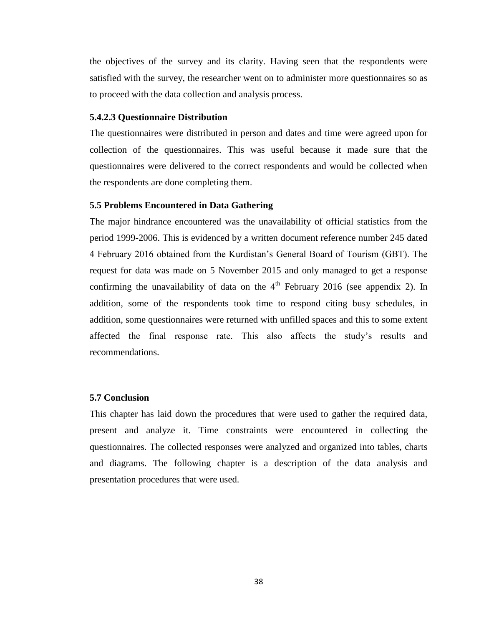the objectives of the survey and its clarity. Having seen that the respondents were satisfied with the survey, the researcher went on to administer more questionnaires so as to proceed with the data collection and analysis process.

## **5.4.2.3 Questionnaire Distribution**

The questionnaires were distributed in person and dates and time were agreed upon for collection of the questionnaires. This was useful because it made sure that the questionnaires were delivered to the correct respondents and would be collected when the respondents are done completing them.

## **5.5 Problems Encountered in Data Gathering**

The major hindrance encountered was the unavailability of official statistics from the period 1999-2006. This is evidenced by a written document reference number 245 dated 4 February 2016 obtained from the Kurdistan's General Board of Tourism (GBT). The request for data was made on 5 November 2015 and only managed to get a response confirming the unavailability of data on the  $4<sup>th</sup>$  February 2016 (see appendix 2). In addition, some of the respondents took time to respond citing busy schedules, in addition, some questionnaires were returned with unfilled spaces and this to some extent affected the final response rate. This also affects the study's results and recommendations.

## **5.7 Conclusion**

This chapter has laid down the procedures that were used to gather the required data, present and analyze it. Time constraints were encountered in collecting the questionnaires. The collected responses were analyzed and organized into tables, charts and diagrams. The following chapter is a description of the data analysis and presentation procedures that were used.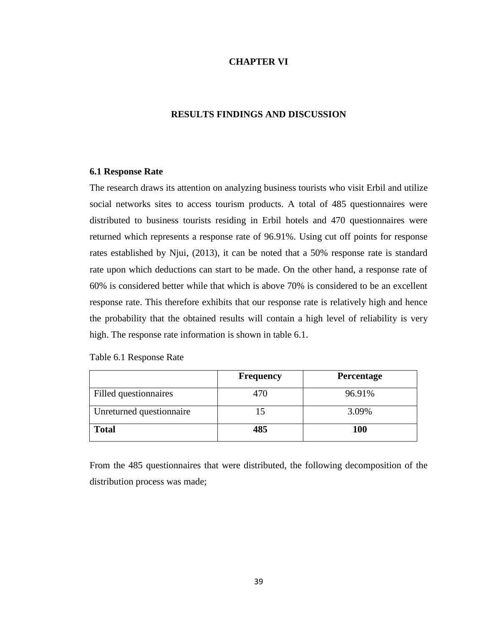## **CHAPTER VI**

## **RESULTS FINDINGS AND DISCUSSION**

## **6.1 Response Rate**

The research draws its attention on analyzing business tourists who visit Erbil and utilize social networks sites to access tourism products. A total of 485 questionnaires were distributed to business tourists residing in Erbil hotels and 470 questionnaires were returned which represents a response rate of 96.91%. Using cut off points for response rates established by Njui, (2013), it can be noted that a 50% response rate is standard rate upon which deductions can start to be made. On the other hand, a response rate of 60% is considered better while that which is above 70% is considered to be an excellent response rate. This therefore exhibits that our response rate is relatively high and hence the probability that the obtained results will contain a high level of reliability is very high. The response rate information is shown in table 6.1.

Table 6.1 Response Rate

|                          | <b>Frequency</b> | <b>Percentage</b> |
|--------------------------|------------------|-------------------|
| Filled questionnaires    | 470              | 96.91%            |
| Unreturned questionnaire |                  | 3.09%             |
| <b>Total</b>             | 485              | <b>100</b>        |

From the 485 questionnaires that were distributed, the following decomposition of the distribution process was made;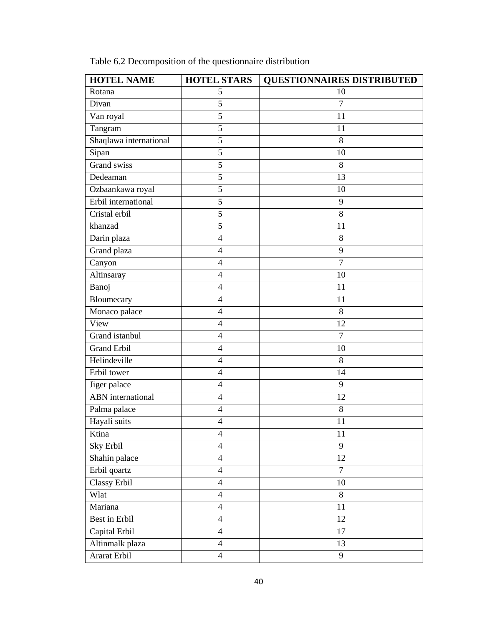| <b>HOTEL NAME</b>        | <b>HOTEL STARS</b>       | <b>QUESTIONNAIRES DISTRIBUTED</b> |
|--------------------------|--------------------------|-----------------------------------|
| Rotana                   | 5                        | 10                                |
| Divan                    | $\overline{5}$           | $\tau$                            |
| Van royal                | 5                        | 11                                |
| Tangram                  | $\overline{5}$           | 11                                |
| Shaqlawa international   | 5                        | 8                                 |
| Sipan                    | 5                        | 10                                |
| Grand swiss              | $\overline{5}$           | 8                                 |
| Dedeaman                 | 5                        | 13                                |
| Ozbaankawa royal         | 5                        | 10                                |
| Erbil international      | $\overline{5}$           | 9                                 |
| Cristal erbil            | $\overline{5}$           | 8                                 |
| khanzad                  | 5                        | 11                                |
| Darin plaza              | $\overline{\mathcal{L}}$ | 8                                 |
| Grand plaza              | $\overline{\mathbf{4}}$  | 9                                 |
| Canyon                   | $\overline{4}$           | $\overline{7}$                    |
| Altinsaray               | $\overline{4}$           | 10                                |
| Banoj                    | $\overline{\mathcal{L}}$ | 11                                |
| Bloumecary               | $\overline{4}$           | 11                                |
| Monaco palace            | $\overline{4}$           | 8                                 |
| View                     | $\overline{4}$           | 12                                |
| Grand istanbul           | $\overline{\mathbf{4}}$  | $\overline{7}$                    |
| <b>Grand Erbil</b>       | 4                        | 10                                |
| Helindeville             | $\overline{4}$           | 8                                 |
| Erbil tower              | $\overline{\mathcal{L}}$ | 14                                |
| Jiger palace             | $\overline{4}$           | 9                                 |
| <b>ABN</b> international | $\overline{\mathcal{L}}$ | 12                                |
| Palma palace             | $\overline{\mathcal{A}}$ | 8                                 |
| Hayali suits             | $\overline{\mathcal{L}}$ | 11                                |
| Ktina                    | $\overline{\mathcal{A}}$ | 11                                |
| Sky Erbil                | $\overline{4}$           | 9                                 |
| Shahin palace            | $\overline{4}$           | 12                                |
| Erbil qoartz             | $\overline{4}$           | $\overline{7}$                    |
| Classy Erbil             | $\overline{4}$           | 10                                |
| Wlat                     | $\overline{4}$           | 8                                 |
| Mariana                  | $\overline{4}$           | 11                                |
| Best in Erbil            | $\overline{4}$           | 12                                |
| Capital Erbil            | $\overline{4}$           | 17                                |
| Altinmalk plaza          | $\overline{4}$           | 13                                |
| Ararat Erbil             | $\overline{\mathcal{A}}$ | 9                                 |
|                          |                          |                                   |

Table 6.2 Decomposition of the questionnaire distribution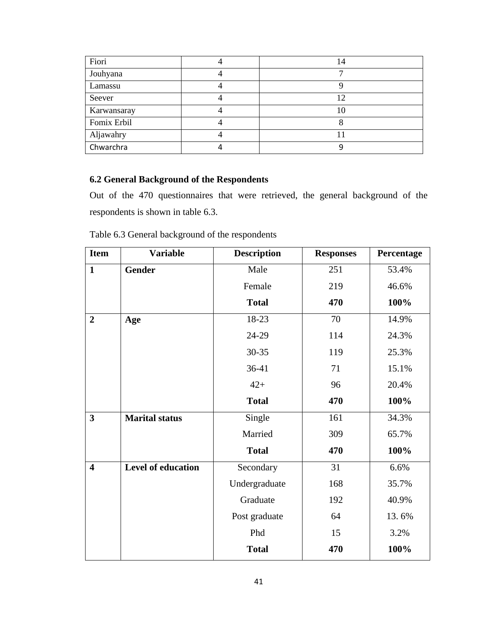| Fiori       | 14 |
|-------------|----|
| Jouhyana    |    |
| Lamassu     |    |
| Seever      |    |
| Karwansaray | 10 |
| Fomix Erbil |    |
| Aljawahry   |    |
| Chwarchra   |    |

# **6.2 General Background of the Respondents**

Out of the 470 questionnaires that were retrieved, the general background of the respondents is shown in table 6.3.

| Table 6.3 General background of the respondents |  |  |
|-------------------------------------------------|--|--|
|-------------------------------------------------|--|--|

| <b>Item</b>             | <b>Variable</b>           | <b>Description</b> | <b>Responses</b> | Percentage |
|-------------------------|---------------------------|--------------------|------------------|------------|
| $\mathbf{1}$            | <b>Gender</b>             | Male               | 251              | 53.4%      |
|                         |                           | Female             | 219              | 46.6%      |
|                         |                           | <b>Total</b>       | 470              | 100%       |
| $\overline{2}$          | Age                       | 18-23              | 70               | 14.9%      |
|                         |                           | 24-29              | 114              | 24.3%      |
|                         |                           | 30-35              | 119              | 25.3%      |
|                         |                           | $36-41$            | 71               | 15.1%      |
|                         |                           | $42+$              | 96               | 20.4%      |
|                         |                           | <b>Total</b>       | 470              | 100%       |
| $\overline{\mathbf{3}}$ | <b>Marital status</b>     | Single             | 161              | 34.3%      |
|                         |                           | Married            | 309              | 65.7%      |
|                         |                           | <b>Total</b>       | 470              | 100%       |
| $\overline{\mathbf{4}}$ | <b>Level of education</b> | Secondary          | 31               | 6.6%       |
|                         |                           | Undergraduate      | 168              | 35.7%      |
|                         |                           | Graduate           | 192              | 40.9%      |
|                         |                           | Post graduate      | 64               | 13.6%      |
|                         |                           | Phd                | 15               | 3.2%       |
|                         |                           | <b>Total</b>       | 470              | 100%       |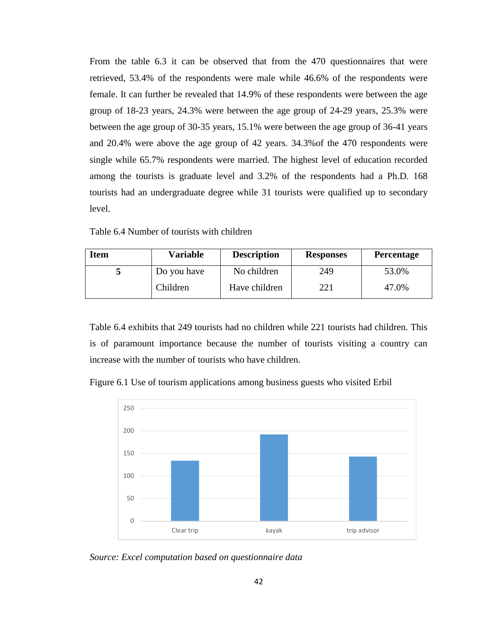From the table 6.3 it can be observed that from the 470 questionnaires that were retrieved, 53.4% of the respondents were male while 46.6% of the respondents were female. It can further be revealed that 14.9% of these respondents were between the age group of 18-23 years, 24.3% were between the age group of 24-29 years, 25.3% were between the age group of 30-35 years, 15.1% were between the age group of 36-41 years and 20.4% were above the age group of 42 years. 34.3%of the 470 respondents were single while 65.7% respondents were married. The highest level of education recorded among the tourists is graduate level and 3.2% of the respondents had a Ph.D. 168 tourists had an undergraduate degree while 31 tourists were qualified up to secondary level.

| Table 6.4 Number of tourists with children |  |  |  |  |
|--------------------------------------------|--|--|--|--|
|--------------------------------------------|--|--|--|--|

| <b>Item</b> | <b>Variable</b> | <b>Description</b> | <b>Responses</b> | <b>Percentage</b> |
|-------------|-----------------|--------------------|------------------|-------------------|
|             | Do you have     | No children        | 249              | 53.0%             |
|             | Children        | Have children      | 221              | 47.0%             |

Table 6.4 exhibits that 249 tourists had no children while 221 tourists had children. This is of paramount importance because the number of tourists visiting a country can increase with the number of tourists who have children.

Figure 6.1 Use of tourism applications among business guests who visited Erbil



*Source: Excel computation based on questionnaire data*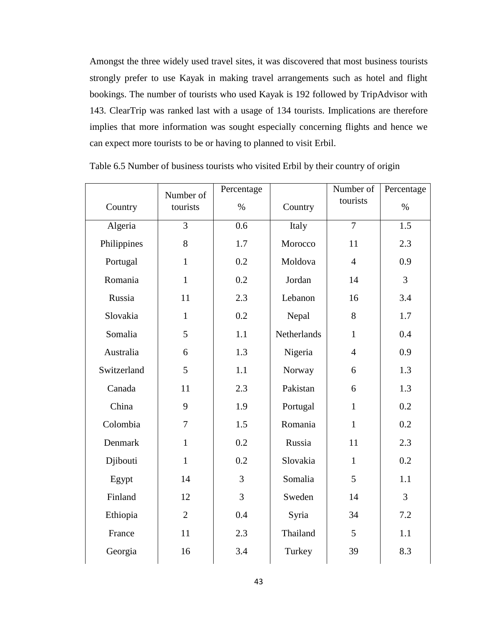Amongst the three widely used travel sites, it was discovered that most business tourists strongly prefer to use Kayak in making travel arrangements such as hotel and flight bookings. The number of tourists who used Kayak is 192 followed by TripAdvisor with 143. ClearTrip was ranked last with a usage of 134 tourists. Implications are therefore implies that more information was sought especially concerning flights and hence we can expect more tourists to be or having to planned to visit Erbil.

|             | Number of      | Percentage     |                    | Number of      | Percentage     |
|-------------|----------------|----------------|--------------------|----------------|----------------|
| Country     | tourists       | $\%$           | Country            | tourists       | $\%$           |
| Algeria     | 3              | 0.6            | Italy              | $\overline{7}$ | 1.5            |
| Philippines | 8              | 1.7            | Morocco            | 11             | 2.3            |
| Portugal    | $\mathbf{1}$   | 0.2            | Moldova            | $\overline{4}$ | 0.9            |
| Romania     | $\mathbf{1}$   | 0.2            | Jordan             | 14             | 3              |
| Russia      | 11             | 2.3            | Lebanon            | 16             | 3.4            |
| Slovakia    | $\mathbf{1}$   | 0.2            | Nepal              | 8              | 1.7            |
| Somalia     | 5              | 1.1            | <b>Netherlands</b> | $\mathbf{1}$   | 0.4            |
| Australia   | 6              | 1.3            | Nigeria            | $\overline{4}$ | 0.9            |
| Switzerland | 5              | 1.1            | Norway             | 6              | 1.3            |
| Canada      | 11             | 2.3            | Pakistan           | 6              | 1.3            |
| China       | 9              | 1.9            | Portugal           | $\mathbf{1}$   | 0.2            |
| Colombia    | 7              | 1.5            | Romania            | $\mathbf{1}$   | 0.2            |
| Denmark     | $\mathbf{1}$   | 0.2            | Russia             | 11             | 2.3            |
| Djibouti    | $\mathbf{1}$   | 0.2            | Slovakia           | $\mathbf{1}$   | 0.2            |
| Egypt       | 14             | $\overline{3}$ | Somalia            | 5              | 1.1            |
| Finland     | 12             | $\overline{3}$ | Sweden             | 14             | $\overline{3}$ |
| Ethiopia    | $\overline{2}$ | 0.4            | Syria              | 34             | 7.2            |
| France      | 11             | 2.3            | Thailand           | 5              | 1.1            |
| Georgia     | 16             | 3.4            | Turkey             | 39             | 8.3            |

Table 6.5 Number of business tourists who visited Erbil by their country of origin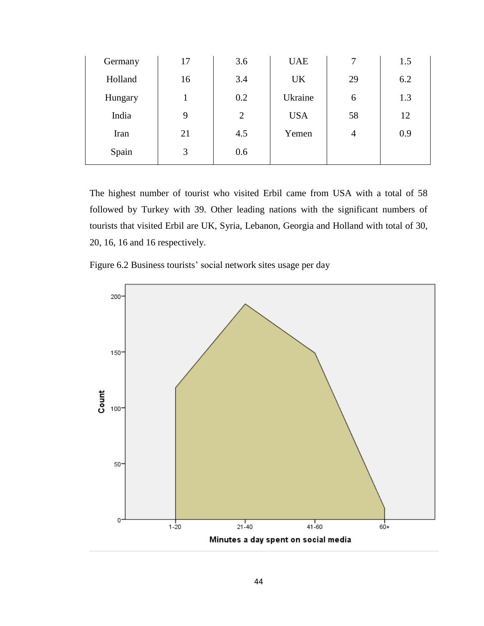| Germany | 17 | 3.6            | <b>UAE</b> | 7              | 1.5 |
|---------|----|----------------|------------|----------------|-----|
| Holland | 16 | 3.4            | UK         | 29             | 6.2 |
| Hungary |    | 0.2            | Ukraine    | 6              | 1.3 |
| India   | 9  | $\overline{2}$ | <b>USA</b> | 58             | 12  |
| Iran    | 21 | 4.5            | Yemen      | $\overline{4}$ | 0.9 |
| Spain   | 3  | 0.6            |            |                |     |

The highest number of tourist who visited Erbil came from USA with a total of 58 followed by Turkey with 39. Other leading nations with the significant numbers of tourists that visited Erbil are UK, Syria, Lebanon, Georgia and Holland with total of 30, 20, 16, 16 and 16 respectively.

Figure 6.2 Business tourists' social network sites usage per day

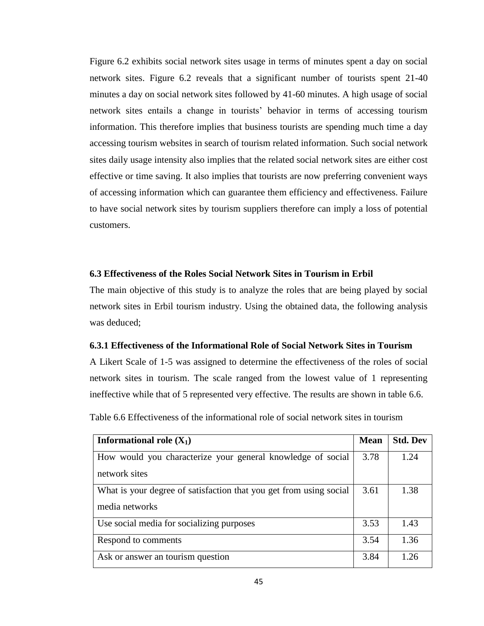Figure 6.2 exhibits social network sites usage in terms of minutes spent a day on social network sites. Figure 6.2 reveals that a significant number of tourists spent 21-40 minutes a day on social network sites followed by 41-60 minutes. A high usage of social network sites entails a change in tourists' behavior in terms of accessing tourism information. This therefore implies that business tourists are spending much time a day accessing tourism websites in search of tourism related information. Such social network sites daily usage intensity also implies that the related social network sites are either cost effective or time saving. It also implies that tourists are now preferring convenient ways of accessing information which can guarantee them efficiency and effectiveness. Failure to have social network sites by tourism suppliers therefore can imply a loss of potential customers.

## **6.3 Effectiveness of the Roles Social Network Sites in Tourism in Erbil**

The main objective of this study is to analyze the roles that are being played by social network sites in Erbil tourism industry. Using the obtained data, the following analysis was deduced;

## **6.3.1 Effectiveness of the Informational Role of Social Network Sites in Tourism**

A Likert Scale of 1-5 was assigned to determine the effectiveness of the roles of social network sites in tourism. The scale ranged from the lowest value of 1 representing ineffective while that of 5 represented very effective. The results are shown in table 6.6.

Table 6.6 Effectiveness of the informational role of social network sites in tourism

| <b>Informational role <math>(X_1)</math></b>                       | <b>Mean</b> | <b>Std. Dev</b> |
|--------------------------------------------------------------------|-------------|-----------------|
| How would you characterize your general knowledge of social        | 3.78        | 1.24            |
| network sites                                                      |             |                 |
| What is your degree of satisfaction that you get from using social | 3.61        | 1.38            |
| media networks                                                     |             |                 |
| Use social media for socializing purposes                          | 3.53        | 1.43            |
| Respond to comments                                                | 3.54        | 1.36            |
| Ask or answer an tourism question                                  | 3.84        | 1.26            |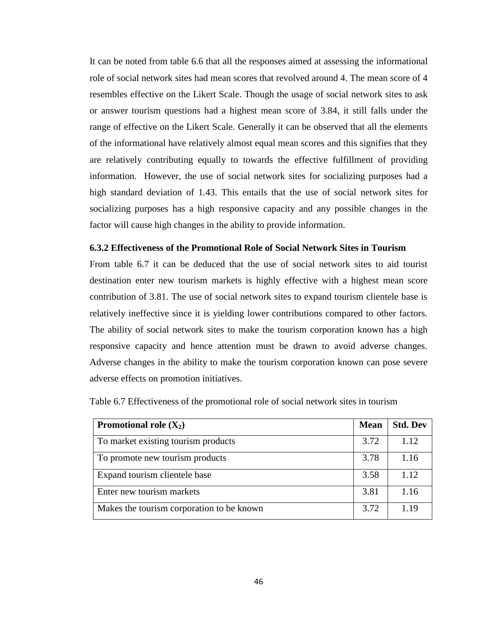It can be noted from table 6.6 that all the responses aimed at assessing the informational role of social network sites had mean scores that revolved around 4. The mean score of 4 resembles effective on the Likert Scale. Though the usage of social network sites to ask or answer tourism questions had a highest mean score of 3.84, it still falls under the range of effective on the Likert Scale. Generally it can be observed that all the elements of the informational have relatively almost equal mean scores and this signifies that they are relatively contributing equally to towards the effective fulfillment of providing information. However, the use of social network sites for socializing purposes had a high standard deviation of 1.43. This entails that the use of social network sites for socializing purposes has a high responsive capacity and any possible changes in the factor will cause high changes in the ability to provide information.

## **6.3.2 Effectiveness of the Promotional Role of Social Network Sites in Tourism**

From table 6.7 it can be deduced that the use of social network sites to aid tourist destination enter new tourism markets is highly effective with a highest mean score contribution of 3.81. The use of social network sites to expand tourism clientele base is relatively ineffective since it is yielding lower contributions compared to other factors. The ability of social network sites to make the tourism corporation known has a high responsive capacity and hence attention must be drawn to avoid adverse changes. Adverse changes in the ability to make the tourism corporation known can pose severe adverse effects on promotion initiatives.

| Promotional role $(X_2)$                  | <b>Mean</b> | <b>Std. Dev</b> |
|-------------------------------------------|-------------|-----------------|
| To market existing tourism products       | 3.72        | 1.12            |
| To promote new tourism products           | 3.78        | 1.16            |
| Expand tourism clientele base             | 3.58        | 1.12            |
| Enter new tourism markets                 | 3.81        | 1.16            |
| Makes the tourism corporation to be known | 3.72        | 1 1 G           |

Table 6.7 Effectiveness of the promotional role of social network sites in tourism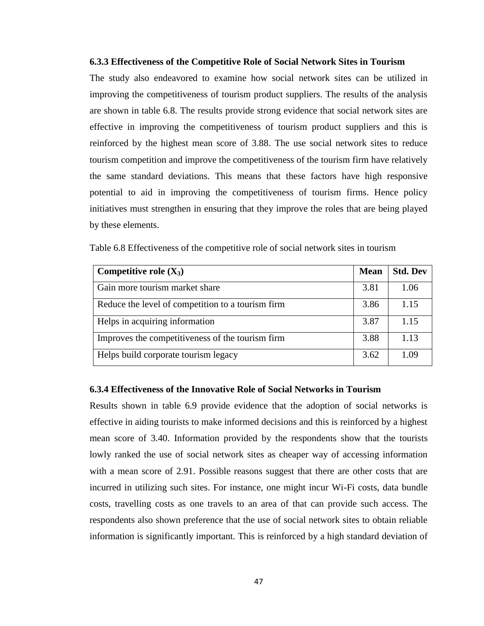#### **6.3.3 Effectiveness of the Competitive Role of Social Network Sites in Tourism**

The study also endeavored to examine how social network sites can be utilized in improving the competitiveness of tourism product suppliers. The results of the analysis are shown in table 6.8. The results provide strong evidence that social network sites are effective in improving the competitiveness of tourism product suppliers and this is reinforced by the highest mean score of 3.88. The use social network sites to reduce tourism competition and improve the competitiveness of the tourism firm have relatively the same standard deviations. This means that these factors have high responsive potential to aid in improving the competitiveness of tourism firms. Hence policy initiatives must strengthen in ensuring that they improve the roles that are being played by these elements.

| Competitive role $(X_3)$                          | <b>Mean</b> | <b>Std. Dev</b> |
|---------------------------------------------------|-------------|-----------------|
| Gain more tourism market share                    | 3.81        | 1.06            |
| Reduce the level of competition to a tourism firm | 3.86        | 1.15            |
| Helps in acquiring information                    | 3.87        | 1.15            |
| Improves the competitiveness of the tourism firm  | 3.88        | 1.13            |
| Helps build corporate tourism legacy              | 3.62        | 1.09            |

Table 6.8 Effectiveness of the competitive role of social network sites in tourism

## **6.3.4 Effectiveness of the Innovative Role of Social Networks in Tourism**

Results shown in table 6.9 provide evidence that the adoption of social networks is effective in aiding tourists to make informed decisions and this is reinforced by a highest mean score of 3.40. Information provided by the respondents show that the tourists lowly ranked the use of social network sites as cheaper way of accessing information with a mean score of 2.91. Possible reasons suggest that there are other costs that are incurred in utilizing such sites. For instance, one might incur Wi-Fi costs, data bundle costs, travelling costs as one travels to an area of that can provide such access. The respondents also shown preference that the use of social network sites to obtain reliable information is significantly important. This is reinforced by a high standard deviation of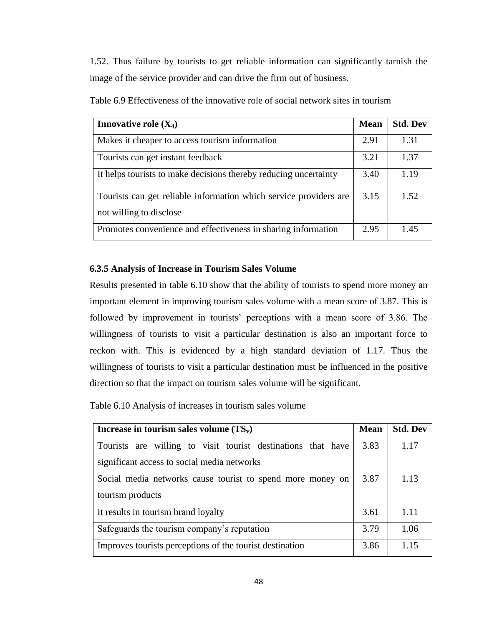1.52. Thus failure by tourists to get reliable information can significantly tarnish the image of the service provider and can drive the firm out of business.

| <b>Innovative role <math>(X_4)</math></b>                                                    | <b>Mean</b> | <b>Std. Dev</b> |
|----------------------------------------------------------------------------------------------|-------------|-----------------|
| Makes it cheaper to access tourism information                                               | 2.91        | 1.31            |
| Tourists can get instant feedback                                                            | 3.21        | 1.37            |
| It helps tourists to make decisions thereby reducing uncertainty                             | 3.40        | 1.19            |
| Tourists can get reliable information which service providers are<br>not willing to disclose | 3.15        | 1.52            |
| Promotes convenience and effectiveness in sharing information                                | 2.95        | 1.45            |

Table 6.9 Effectiveness of the innovative role of social network sites in tourism

## **6.3.5 Analysis of Increase in Tourism Sales Volume**

Results presented in table 6.10 show that the ability of tourists to spend more money an important element in improving tourism sales volume with a mean score of 3.87. This is followed by improvement in tourists' perceptions with a mean score of 3.86. The willingness of tourists to visit a particular destination is also an important force to reckon with. This is evidenced by a high standard deviation of 1.17. Thus the willingness of tourists to visit a particular destination must be influenced in the positive direction so that the impact on tourism sales volume will be significant.

Table 6.10 Analysis of increases in tourism sales volume

| Increase in tourism sales volume $(TS_v)$                    | <b>Mean</b> | <b>Std. Dev</b> |
|--------------------------------------------------------------|-------------|-----------------|
| Tourists are willing to visit tourist destinations that have | 3.83        | 1.17            |
| significant access to social media networks                  |             |                 |
| Social media networks cause tourist to spend more money on   | 3.87        | 1.13            |
| tourism products                                             |             |                 |
| It results in tourism brand loyalty                          | 3.61        | 1.11            |
| Safeguards the tourism company's reputation                  | 3.79        | 1.06            |
| Improves tourists perceptions of the tourist destination     | 3.86        | 1 1 5           |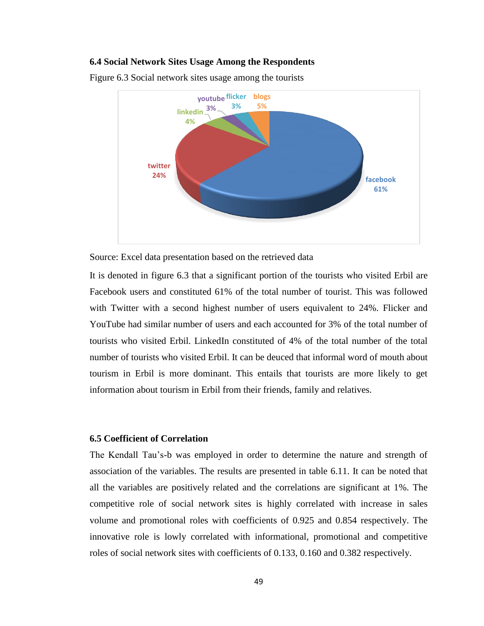## **6.4 Social Network Sites Usage Among the Respondents**



Figure 6.3 Social network sites usage among the tourists

Source: Excel data presentation based on the retrieved data

It is denoted in figure 6.3 that a significant portion of the tourists who visited Erbil are Facebook users and constituted 61% of the total number of tourist. This was followed with Twitter with a second highest number of users equivalent to 24%. Flicker and YouTube had similar number of users and each accounted for 3% of the total number of tourists who visited Erbil. LinkedIn constituted of 4% of the total number of the total number of tourists who visited Erbil. It can be deuced that informal word of mouth about tourism in Erbil is more dominant. This entails that tourists are more likely to get information about tourism in Erbil from their friends, family and relatives.

## **6.5 Coefficient of Correlation**

The Kendall Tau's-b was employed in order to determine the nature and strength of association of the variables. The results are presented in table 6.11. It can be noted that all the variables are positively related and the correlations are significant at 1%. The competitive role of social network sites is highly correlated with increase in sales volume and promotional roles with coefficients of 0.925 and 0.854 respectively. The innovative role is lowly correlated with informational, promotional and competitive roles of social network sites with coefficients of 0.133, 0.160 and 0.382 respectively.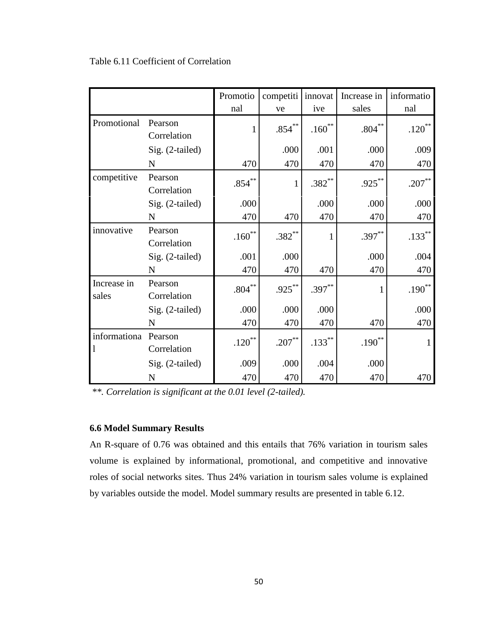|                      |                        | Promotio  | competiti | innovat     | Increase in | informatio |
|----------------------|------------------------|-----------|-----------|-------------|-------------|------------|
|                      |                        | nal       | ve        | ive         | sales       | nal        |
| Promotional          | Pearson<br>Correlation | 1         | $.854***$ | $.160^{**}$ | $.804***$   | $.120***$  |
|                      | Sig. (2-tailed)        |           | .000      | .001        | .000        | .009       |
|                      | N                      | 470       | 470       | 470         | 470         | 470        |
| competitive          | Pearson<br>Correlation | $.854***$ | 1         | $.382***$   | $.925***$   | $.207***$  |
|                      | Sig. (2-tailed)        | .000      |           | .000        | .000        | .000       |
|                      | N                      | 470       | 470       | 470         | 470         | 470        |
| innovative           | Pearson<br>Correlation | $.160***$ | $.382***$ | 1           | $.397***$   | $.133***$  |
|                      | Sig. (2-tailed)        | .001      | .000      |             | .000        | .004       |
|                      | N                      | 470       | 470       | 470         | 470         | 470        |
| Increase in<br>sales | Pearson<br>Correlation | $.804***$ | $.925***$ | $.397***$   |             | $.190***$  |
|                      | Sig. (2-tailed)        | .000      | .000      | .000        |             | .000       |
|                      | N                      | 470       | 470       | 470         | 470         | 470        |
| informationa         | Pearson<br>Correlation | $.120***$ | $.207***$ | $.133***$   | $.190***$   | 1          |
|                      | Sig. (2-tailed)        | .009      | .000      | .004        | .000        |            |
|                      | ${\bf N}$              | 470       | 470       | 470         | 470         | 470        |

## Table 6.11 Coefficient of Correlation

*\*\*. Correlation is significant at the 0.01 level (2-tailed).*

## **6.6 Model Summary Results**

An R-square of 0.76 was obtained and this entails that 76% variation in tourism sales volume is explained by informational, promotional, and competitive and innovative roles of social networks sites. Thus 24% variation in tourism sales volume is explained by variables outside the model. Model summary results are presented in table 6.12.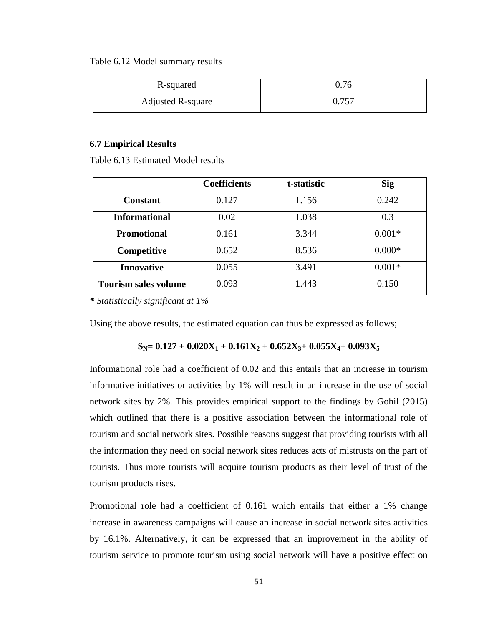#### Table 6.12 Model summary results

| R-squared         | 0.76  |
|-------------------|-------|
| Adjusted R-square | 0.757 |

## **6.7 Empirical Results**

Table 6.13 Estimated Model results

|                             | <b>Coefficients</b> | t-statistic | <b>Sig</b> |
|-----------------------------|---------------------|-------------|------------|
| <b>Constant</b>             | 0.127               | 1.156       | 0.242      |
| <b>Informational</b>        | 0.02                | 1.038       | 0.3        |
| <b>Promotional</b>          | 0.161               | 3.344       | $0.001*$   |
| Competitive                 | 0.652               | 8.536       | $0.000*$   |
| <b>Innovative</b>           | 0.055               | 3.491       | $0.001*$   |
| <b>Tourism sales volume</b> | 0.093               | 1.443       | 0.150      |

*\* Statistically significant at 1%* 

Using the above results, the estimated equation can thus be expressed as follows;

# $S_N = 0.127 + 0.020X_1 + 0.161X_2 + 0.652X_3 + 0.055X_4 + 0.093X_5$

Informational role had a coefficient of 0.02 and this entails that an increase in tourism informative initiatives or activities by 1% will result in an increase in the use of social network sites by 2%. This provides empirical support to the findings by Gohil (2015) which outlined that there is a positive association between the informational role of tourism and social network sites. Possible reasons suggest that providing tourists with all the information they need on social network sites reduces acts of mistrusts on the part of tourists. Thus more tourists will acquire tourism products as their level of trust of the tourism products rises.

Promotional role had a coefficient of 0.161 which entails that either a 1% change increase in awareness campaigns will cause an increase in social network sites activities by 16.1%. Alternatively, it can be expressed that an improvement in the ability of tourism service to promote tourism using social network will have a positive effect on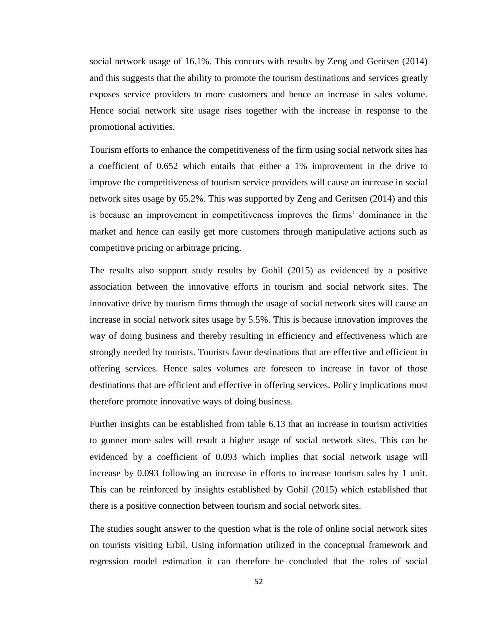social network usage of 16.1%. This concurs with results by Zeng and Geritsen (2014) and this suggests that the ability to promote the tourism destinations and services greatly exposes service providers to more customers and hence an increase in sales volume. Hence social network site usage rises together with the increase in response to the promotional activities.

Tourism efforts to enhance the competitiveness of the firm using social network sites has a coefficient of 0.652 which entails that either a 1% improvement in the drive to improve the competitiveness of tourism service providers will cause an increase in social network sites usage by 65.2%. This was supported by Zeng and Geritsen (2014) and this is because an improvement in competitiveness improves the firms' dominance in the market and hence can easily get more customers through manipulative actions such as competitive pricing or arbitrage pricing.

The results also support study results by Gohil (2015) as evidenced by a positive association between the innovative efforts in tourism and social network sites. The innovative drive by tourism firms through the usage of social network sites will cause an increase in social network sites usage by 5.5%. This is because innovation improves the way of doing business and thereby resulting in efficiency and effectiveness which are strongly needed by tourists. Tourists favor destinations that are effective and efficient in offering services. Hence sales volumes are foreseen to increase in favor of those destinations that are efficient and effective in offering services. Policy implications must therefore promote innovative ways of doing business.

Further insights can be established from table 6.13 that an increase in tourism activities to gunner more sales will result a higher usage of social network sites. This can be evidenced by a coefficient of 0.093 which implies that social network usage will increase by 0.093 following an increase in efforts to increase tourism sales by 1 unit. This can be reinforced by insights established by Gohil (2015) which established that there is a positive connection between tourism and social network sites.

The studies sought answer to the question what is the role of online social network sites on tourists visiting Erbil. Using information utilized in the conceptual framework and regression model estimation it can therefore be concluded that the roles of social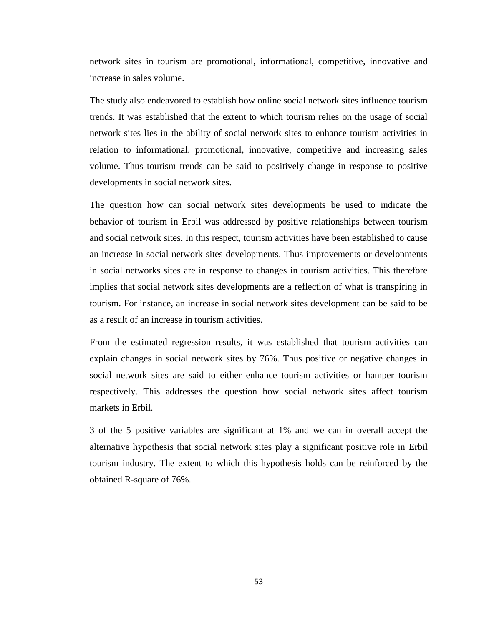network sites in tourism are promotional, informational, competitive, innovative and increase in sales volume.

The study also endeavored to establish how online social network sites influence tourism trends. It was established that the extent to which tourism relies on the usage of social network sites lies in the ability of social network sites to enhance tourism activities in relation to informational, promotional, innovative, competitive and increasing sales volume. Thus tourism trends can be said to positively change in response to positive developments in social network sites.

The question how can social network sites developments be used to indicate the behavior of tourism in Erbil was addressed by positive relationships between tourism and social network sites. In this respect, tourism activities have been established to cause an increase in social network sites developments. Thus improvements or developments in social networks sites are in response to changes in tourism activities. This therefore implies that social network sites developments are a reflection of what is transpiring in tourism. For instance, an increase in social network sites development can be said to be as a result of an increase in tourism activities.

From the estimated regression results, it was established that tourism activities can explain changes in social network sites by 76%. Thus positive or negative changes in social network sites are said to either enhance tourism activities or hamper tourism respectively. This addresses the question how social network sites affect tourism markets in Erbil.

3 of the 5 positive variables are significant at 1% and we can in overall accept the alternative hypothesis that social network sites play a significant positive role in Erbil tourism industry. The extent to which this hypothesis holds can be reinforced by the obtained R-square of 76%.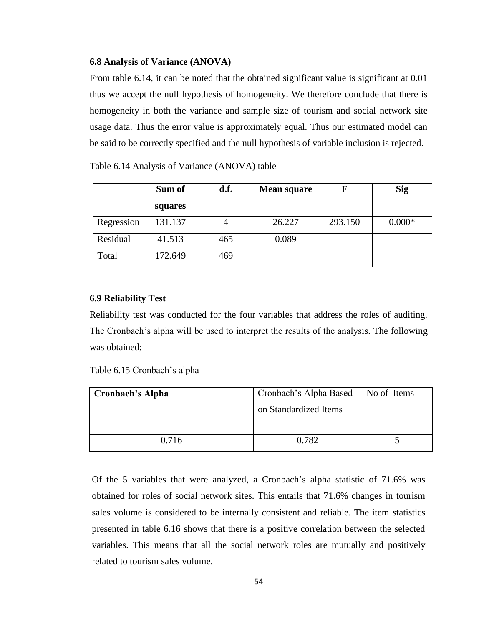## **6.8 Analysis of Variance (ANOVA)**

From table 6.14, it can be noted that the obtained significant value is significant at 0.01 thus we accept the null hypothesis of homogeneity. We therefore conclude that there is homogeneity in both the variance and sample size of tourism and social network site usage data. Thus the error value is approximately equal. Thus our estimated model can be said to be correctly specified and the null hypothesis of variable inclusion is rejected.

Table 6.14 Analysis of Variance (ANOVA) table

|            | Sum of  | d.f. | <b>Mean square</b> | F       | <b>Sig</b> |
|------------|---------|------|--------------------|---------|------------|
|            | squares |      |                    |         |            |
| Regression | 131.137 |      | 26.227             | 293.150 | $0.000*$   |
| Residual   | 41.513  | 465  | 0.089              |         |            |
| Total      | 172.649 | 469  |                    |         |            |

## **6.9 Reliability Test**

Reliability test was conducted for the four variables that address the roles of auditing. The Cronbach's alpha will be used to interpret the results of the analysis. The following was obtained;

| <b>Cronbach's Alpha</b> | Cronbach's Alpha Based   No of Items |  |
|-------------------------|--------------------------------------|--|
|                         | on Standardized Items                |  |
| 0.716                   | 0.782                                |  |

Of the 5 variables that were analyzed, a Cronbach's alpha statistic of 71.6% was obtained for roles of social network sites. This entails that 71.6% changes in tourism sales volume is considered to be internally consistent and reliable. The item statistics presented in table 6.16 shows that there is a positive correlation between the selected variables. This means that all the social network roles are mutually and positively related to tourism sales volume.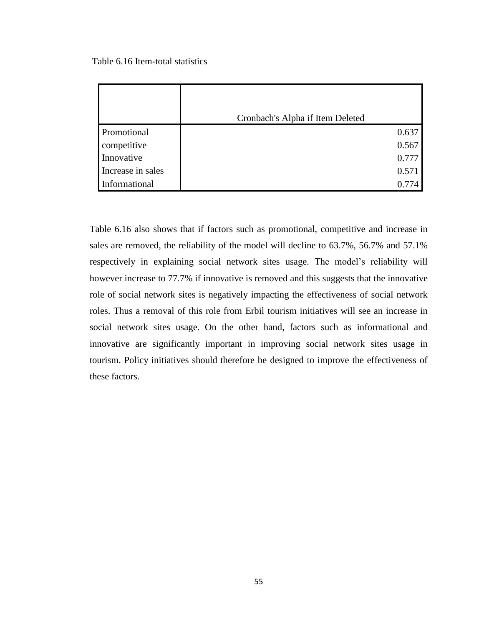Table 6.16 Item-total statistics

|                   | Cronbach's Alpha if Item Deleted |       |
|-------------------|----------------------------------|-------|
| Promotional       |                                  | 0.637 |
| competitive       |                                  | 0.567 |
| Innovative        |                                  | 0.777 |
| Increase in sales |                                  | 0.571 |
| Informational     |                                  | 0.774 |

Table 6.16 also shows that if factors such as promotional, competitive and increase in sales are removed, the reliability of the model will decline to 63.7%, 56.7% and 57.1% respectively in explaining social network sites usage. The model's reliability will however increase to 77.7% if innovative is removed and this suggests that the innovative role of social network sites is negatively impacting the effectiveness of social network roles. Thus a removal of this role from Erbil tourism initiatives will see an increase in social network sites usage. On the other hand, factors such as informational and innovative are significantly important in improving social network sites usage in tourism. Policy initiatives should therefore be designed to improve the effectiveness of these factors.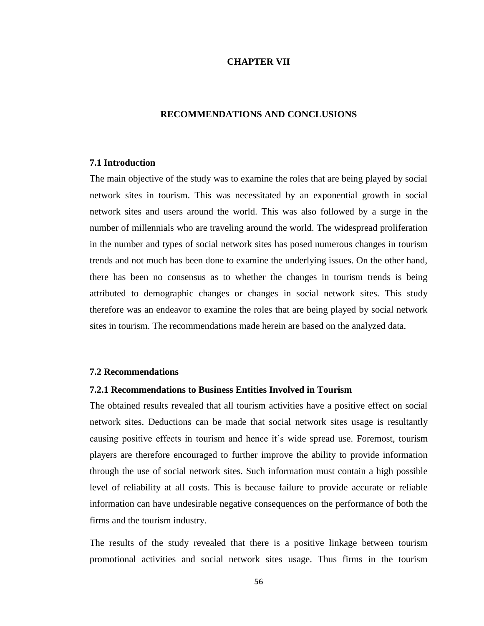## **CHAPTER VII**

## **RECOMMENDATIONS AND CONCLUSIONS**

#### **7.1 Introduction**

The main objective of the study was to examine the roles that are being played by social network sites in tourism. This was necessitated by an exponential growth in social network sites and users around the world. This was also followed by a surge in the number of millennials who are traveling around the world. The widespread proliferation in the number and types of social network sites has posed numerous changes in tourism trends and not much has been done to examine the underlying issues. On the other hand, there has been no consensus as to whether the changes in tourism trends is being attributed to demographic changes or changes in social network sites. This study therefore was an endeavor to examine the roles that are being played by social network sites in tourism. The recommendations made herein are based on the analyzed data.

## **7.2 Recommendations**

#### **7.2.1 Recommendations to Business Entities Involved in Tourism**

The obtained results revealed that all tourism activities have a positive effect on social network sites. Deductions can be made that social network sites usage is resultantly causing positive effects in tourism and hence it's wide spread use. Foremost, tourism players are therefore encouraged to further improve the ability to provide information through the use of social network sites. Such information must contain a high possible level of reliability at all costs. This is because failure to provide accurate or reliable information can have undesirable negative consequences on the performance of both the firms and the tourism industry.

The results of the study revealed that there is a positive linkage between tourism promotional activities and social network sites usage. Thus firms in the tourism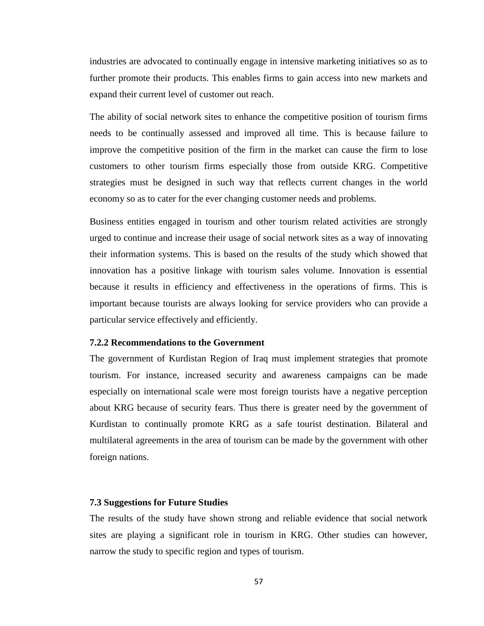industries are advocated to continually engage in intensive marketing initiatives so as to further promote their products. This enables firms to gain access into new markets and expand their current level of customer out reach.

The ability of social network sites to enhance the competitive position of tourism firms needs to be continually assessed and improved all time. This is because failure to improve the competitive position of the firm in the market can cause the firm to lose customers to other tourism firms especially those from outside KRG. Competitive strategies must be designed in such way that reflects current changes in the world economy so as to cater for the ever changing customer needs and problems.

Business entities engaged in tourism and other tourism related activities are strongly urged to continue and increase their usage of social network sites as a way of innovating their information systems. This is based on the results of the study which showed that innovation has a positive linkage with tourism sales volume. Innovation is essential because it results in efficiency and effectiveness in the operations of firms. This is important because tourists are always looking for service providers who can provide a particular service effectively and efficiently.

## **7.2.2 Recommendations to the Government**

The government of Kurdistan Region of Iraq must implement strategies that promote tourism. For instance, increased security and awareness campaigns can be made especially on international scale were most foreign tourists have a negative perception about KRG because of security fears. Thus there is greater need by the government of Kurdistan to continually promote KRG as a safe tourist destination. Bilateral and multilateral agreements in the area of tourism can be made by the government with other foreign nations.

#### **7.3 Suggestions for Future Studies**

The results of the study have shown strong and reliable evidence that social network sites are playing a significant role in tourism in KRG. Other studies can however, narrow the study to specific region and types of tourism.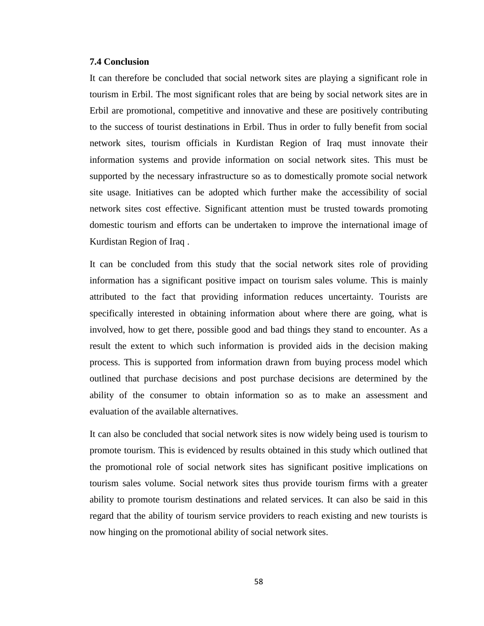#### **7.4 Conclusion**

It can therefore be concluded that social network sites are playing a significant role in tourism in Erbil. The most significant roles that are being by social network sites are in Erbil are promotional, competitive and innovative and these are positively contributing to the success of tourist destinations in Erbil. Thus in order to fully benefit from social network sites, tourism officials in Kurdistan Region of Iraq must innovate their information systems and provide information on social network sites. This must be supported by the necessary infrastructure so as to domestically promote social network site usage. Initiatives can be adopted which further make the accessibility of social network sites cost effective. Significant attention must be trusted towards promoting domestic tourism and efforts can be undertaken to improve the international image of Kurdistan Region of Iraq .

It can be concluded from this study that the social network sites role of providing information has a significant positive impact on tourism sales volume. This is mainly attributed to the fact that providing information reduces uncertainty. Tourists are specifically interested in obtaining information about where there are going, what is involved, how to get there, possible good and bad things they stand to encounter. As a result the extent to which such information is provided aids in the decision making process. This is supported from information drawn from buying process model which outlined that purchase decisions and post purchase decisions are determined by the ability of the consumer to obtain information so as to make an assessment and evaluation of the available alternatives.

It can also be concluded that social network sites is now widely being used is tourism to promote tourism. This is evidenced by results obtained in this study which outlined that the promotional role of social network sites has significant positive implications on tourism sales volume. Social network sites thus provide tourism firms with a greater ability to promote tourism destinations and related services. It can also be said in this regard that the ability of tourism service providers to reach existing and new tourists is now hinging on the promotional ability of social network sites.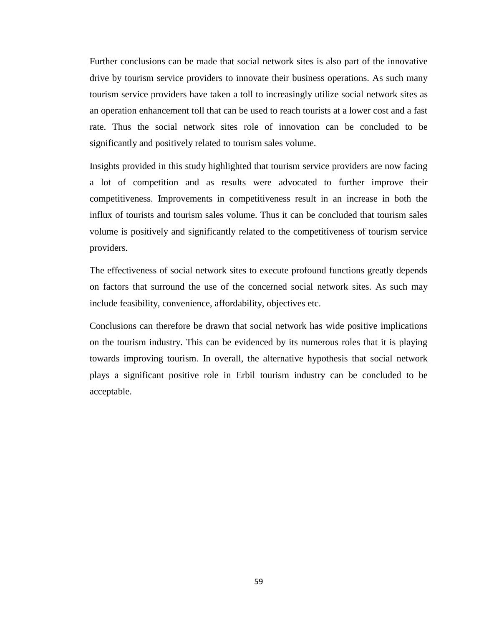Further conclusions can be made that social network sites is also part of the innovative drive by tourism service providers to innovate their business operations. As such many tourism service providers have taken a toll to increasingly utilize social network sites as an operation enhancement toll that can be used to reach tourists at a lower cost and a fast rate. Thus the social network sites role of innovation can be concluded to be significantly and positively related to tourism sales volume.

Insights provided in this study highlighted that tourism service providers are now facing a lot of competition and as results were advocated to further improve their competitiveness. Improvements in competitiveness result in an increase in both the influx of tourists and tourism sales volume. Thus it can be concluded that tourism sales volume is positively and significantly related to the competitiveness of tourism service providers.

The effectiveness of social network sites to execute profound functions greatly depends on factors that surround the use of the concerned social network sites. As such may include feasibility, convenience, affordability, objectives etc.

Conclusions can therefore be drawn that social network has wide positive implications on the tourism industry. This can be evidenced by its numerous roles that it is playing towards improving tourism. In overall, the alternative hypothesis that social network plays a significant positive role in Erbil tourism industry can be concluded to be acceptable.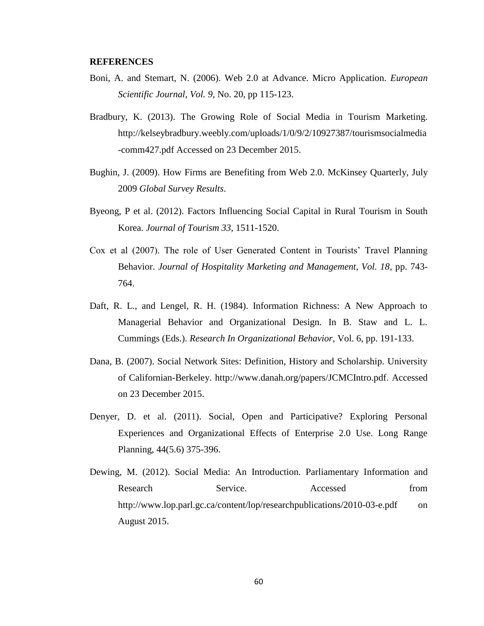#### **REFERENCES**

- Boni, A. and Stemart, N. (2006). Web 2.0 at Advance. Micro Application. *European Scientific Journal, Vol. 9,* No. 20, pp 115-123.
- Bradbury, K. (2013). The Growing Role of Social Media in Tourism Marketing. [http://kelseybradbury.weebly.com/uploads/1/0/9/2/10927387/tourismsocialmedia](http://kelseybradbury.weebly.com/uploads/1/0/9/2/10927387/tourismsocialmedia-comm427.pdf%20Accessed%20on%2023%20December%202015) [-comm427.pdf Accessed on 23 December 2015.](http://kelseybradbury.weebly.com/uploads/1/0/9/2/10927387/tourismsocialmedia-comm427.pdf%20Accessed%20on%2023%20December%202015)
- Bughin, J. (2009). How Firms are Benefiting from Web 2.0. McKinsey Quarterly, July 2009 *Global Survey Results*.
- Byeong, P et al. (2012). Factors Influencing Social Capital in Rural Tourism in South Korea. *Journal of Tourism 33,* 1511-1520.
- Cox et al (2007). The role of User Generated Content in Tourists' Travel Planning Behavior. *Journal of Hospitality Marketing and Management, Vol. 18*, pp. 743- 764.
- Daft, R. L., and Lengel, R. H. (1984). Information Richness: A New Approach to Managerial Behavior and Organizational Design. In B. Staw and L. L. Cummings (Eds.). *Research In Organizational Behavior*, Vol. 6, pp. 191-133.
- Dana, B. (2007). Social Network Sites: Definition, History and Scholarship. University of Californian-Berkeley. [http://www.danah.org/papers/JCMCIntro.pdf.](http://www.danah.org/papers/JCMCIntro.pdf) Accessed on 23 December 2015.
- Denyer, D. et al. (2011). Social, Open and Participative? Exploring Personal Experiences and Organizational Effects of Enterprise 2.0 Use. Long Range Planning, 44(5.6) 375-396.
- Dewing, M. (2012). Social Media: An Introduction. Parliamentary Information and Research Service. Accessed from <http://www.lop.parl.gc.ca/content/lop/researchpublications/2010-03-e.pdf> on August 2015.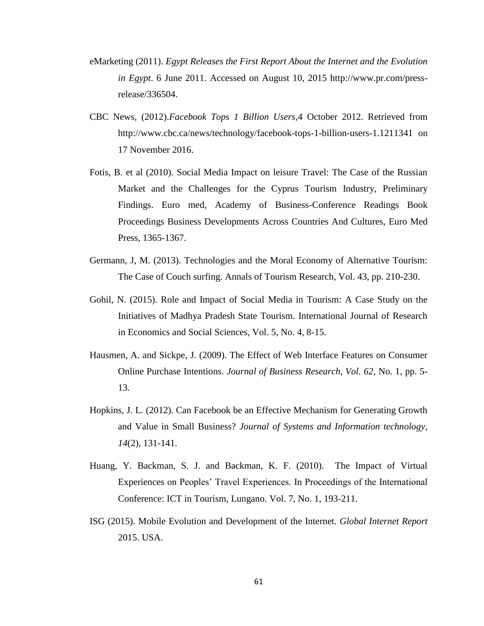- eMarketing (2011). *Egypt Releases the First Report About the Internet and the Evolution in Egypt*. 6 June 2011. Accessed on August 10, 2015 [http://www.pr.com/press](http://www.pr.com/press-release/336504)[release/336504.](http://www.pr.com/press-release/336504)
- CBC News, (2012).*Facebook Tops 1 Billion Users,*4 October 2012. Retrieved from [http://www.cbc.ca/news/technology/facebook-tops-1-billion-users-1.1211341 on](http://www.cbc.ca/news/technology/facebook-tops-1-billion-users-1.1211341%20on%2017%20November%202016)  [17 November 2016.](http://www.cbc.ca/news/technology/facebook-tops-1-billion-users-1.1211341%20on%2017%20November%202016)
- Fotis, B. et al (2010). Social Media Impact on leisure Travel: The Case of the Russian Market and the Challenges for the Cyprus Tourism Industry, Preliminary Findings. Euro med, Academy of Business-Conference Readings Book Proceedings Business Developments Across Countries And Cultures, Euro Med Press, 1365-1367.
- Germann, J, M. (2013). Technologies and the Moral Economy of Alternative Tourism: The Case of Couch surfing. Annals of Tourism Research, Vol. 43, pp. 210-230.
- Gohil, N. (2015). Role and Impact of Social Media in Tourism: A Case Study on the Initiatives of Madhya Pradesh State Tourism. International Journal of Research in Economics and Social Sciences, Vol. 5, No. 4, 8-15.
- Hausmen, A. and Sickpe, J. (2009). The Effect of Web Interface Features on Consumer Online Purchase Intentions. *Journal of Business Research, Vol. 62*, No. 1, pp. 5- 13.
- Hopkins, J. L. (2012). Can Facebook be an Effective Mechanism for Generating Growth and Value in Small Business? *Journal of Systems and Information technology, 14*(2), 131-141.
- Huang, Y. Backman, S. J. and Backman, K. F. (2010). The Impact of Virtual Experiences on Peoples' Travel Experiences. In Proceedings of the International Conference: ICT in Tourism, Lungano. Vol. 7, No. 1, 193-211.
- ISG (2015). Mobile Evolution and Development of the Internet. *Global Internet Report*  2015. USA.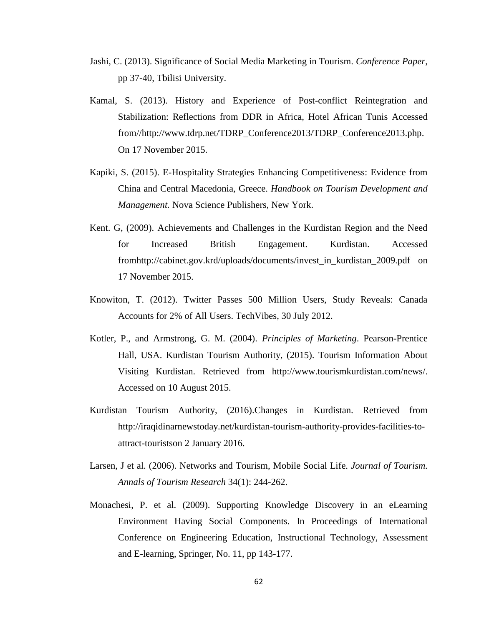- Jashi, C. (2013). Significance of Social Media Marketing in Tourism. *Conference Paper*, pp 37-40, Tbilisi University.
- Kamal, S. (2013). History and Experience of Post-conflict Reintegration and Stabilization: Reflections from DDR in Africa, Hotel African Tunis Accessed from/[/http://www.tdrp.net/TDRP\\_Conference2013/TDRP\\_Conference2013.php.](http://www.tdrp.net/TDRP_Conference2013/TDRP_Conference2013.php) On 17 November 2015.
- Kapiki, S. (2015). E-Hospitality Strategies Enhancing Competitiveness: Evidence from China and Central Macedonia, Greece. *Handbook on Tourism Development and Management.* Nova Science Publishers, New York.
- Kent. G, (2009). Achievements and Challenges in the Kurdistan Region and the Need for Increased British Engagement. Kurdistan. Accessed fro[mhttp://cabinet.gov.krd/uploads/documents/invest\\_in\\_kurdistan\\_2009.pdf](http://cabinet.gov.krd/uploads/documents/invest_in_kurdistan_2009.pdf) on 17 November 2015.
- Knowiton, T. (2012). Twitter Passes 500 Million Users, Study Reveals: Canada Accounts for 2% of All Users. TechVibes, 30 July 2012.
- Kotler, P., and Armstrong, G. M. (2004). *Principles of Marketing*. Pearson-Prentice Hall, USA. Kurdistan Tourism Authority, (2015). Tourism Information About Visiting Kurdistan. Retrieved from [http://www.tourismkurdistan.com/news/.](http://www.tourismkurdistan.com/news/) Accessed on 10 August 2015.
- Kurdistan Tourism Authority, (2016).Changes in Kurdistan. Retrieved from [http://iraqidinarnewstoday.net/kurdistan-tourism-authority-provides-facilities-to](http://iraqidinarnewstoday.net/kurdistan-tourism-authority-provides-facilities-to-attract-tourists)[attract-touristso](http://iraqidinarnewstoday.net/kurdistan-tourism-authority-provides-facilities-to-attract-tourists)n 2 January 2016.
- Larsen, J et al. (2006). Networks and Tourism, Mobile Social Life. *Journal of Tourism. Annals of Tourism Research* 34(1): 244-262.
- Monachesi, P. et al. (2009). Supporting Knowledge Discovery in an eLearning Environment Having Social Components. In Proceedings of International Conference on Engineering Education, Instructional Technology, Assessment and E-learning, Springer, No. 11, pp 143-177.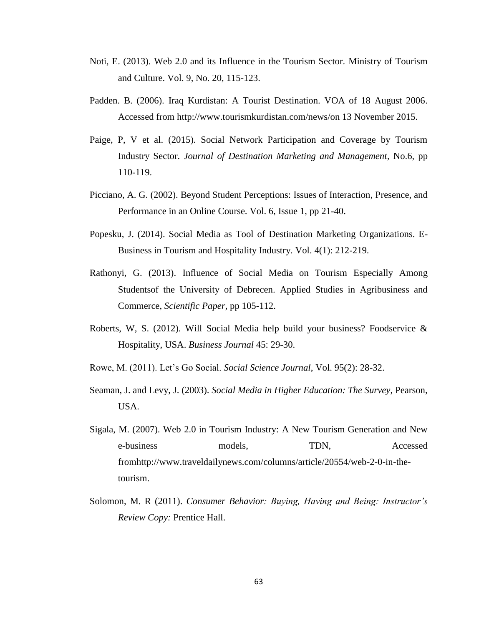- Noti, E. (2013). Web 2.0 and its Influence in the Tourism Sector. Ministry of Tourism and Culture. Vol. 9, No. 20, 115-123.
- Padden. B. (2006). Iraq Kurdistan: A Tourist Destination. VOA of 18 August 2006. Accessed from [http://www.tourismkurdistan.com/news/o](http://www.tourismkurdistan.com/news/)n 13 November 2015.
- Paige, P, V et al. (2015). Social Network Participation and Coverage by Tourism Industry Sector. *Journal of Destination Marketing and Management,* No.6, pp 110-119.
- Picciano, A. G. (2002). Beyond Student Perceptions: Issues of Interaction, Presence, and Performance in an Online Course. Vol. 6, Issue 1, pp 21-40.
- Popesku, J. (2014). Social Media as Tool of Destination Marketing Organizations. E-Business in Tourism and Hospitality Industry. Vol. 4(1): 212-219.
- Rathonyi, G. (2013). Influence of Social Media on Tourism Especially Among Studentsof the University of Debrecen. Applied Studies in Agribusiness and Commerce, *Scientific Paper,* pp 105-112.
- Roberts, W, S. (2012). Will Social Media help build your business? Foodservice & Hospitality, USA. *Business Journal* 45: 29-30.
- Rowe, M. (2011). Let's Go Social. *Social Science Journal*, Vol. 95(2): 28-32.
- Seaman, J. and Levy, J. (2003). *Social Media in Higher Education: The Survey*, Pearson, USA.
- Sigala, M. (2007). Web 2.0 in Tourism Industry: A New Tourism Generation and New e-business models, TDN, Accessed fro[mhttp://www.traveldailynews.com/columns/article/20554/web-2-0-in-the](http://www.traveldailynews.com/columns/article/20554/web-2-0-in-the-tourism)[tourism.](http://www.traveldailynews.com/columns/article/20554/web-2-0-in-the-tourism)
- Solomon, M. R (2011). *Consumer Behavior: Buying, Having and Being: Instructor's Review Copy:* Prentice Hall.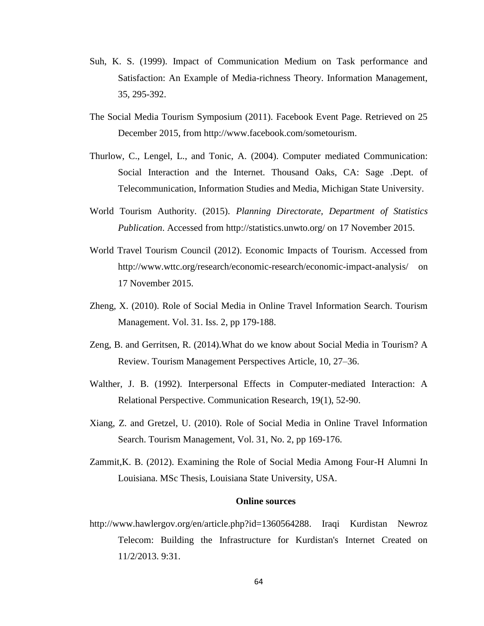- Suh, K. S. (1999). Impact of Communication Medium on Task performance and Satisfaction: An Example of Media-richness Theory. Information Management, 35, 295-392.
- The Social Media Tourism Symposium (2011). Facebook Event Page. Retrieved on 25 December 2015, from [http://www.facebook.com/sometourism.](http://www.facebook.com/sometourism)
- Thurlow, C., Lengel, L., and Tonic, A. (2004). Computer mediated Communication: Social Interaction and the Internet. Thousand Oaks, CA: Sage .Dept. of Telecommunication, Information Studies and Media, Michigan State University.
- World Tourism Authority. (2015). *Planning Directorate, Department of Statistics Publication*. Accessed from<http://statistics.unwto.org/> on 17 November 2015.
- World Travel Tourism Council (2012). Economic Impacts of Tourism. Accessed from <http://www.wttc.org/research/economic-research/economic-impact-analysis/> on 17 November 2015.
- Zheng, X. (2010). Role of Social Media in Online Travel Information Search. Tourism Management. Vol. 31. Iss. 2, pp 179-188.
- Zeng, B. and Gerritsen, R. (2014).What do we know about Social Media in Tourism? A Review. Tourism Management Perspectives Article, 10, 27–36.
- Walther, J. B. (1992). Interpersonal Effects in Computer-mediated Interaction: A Relational Perspective. Communication Research, 19(1), 52-90.
- Xiang, Z. and Gretzel, U. (2010). Role of Social Media in Online Travel Information Search. Tourism Management, Vol. 31, No. 2, pp 169-176.
- Zammit,K. B. (2012). Examining the Role of Social Media Among Four-H Alumni In Louisiana. MSc Thesis, Louisiana State University, USA.

#### **Online sources**

[http://www.hawlergov.org/en/article.php?id=1360564288.](http://www.hawlergov.org/en/article.php?id=1360564288) Iraqi Kurdistan Newroz Telecom: Building the Infrastructure for Kurdistan's Internet Created on 11/2/2013. 9:31.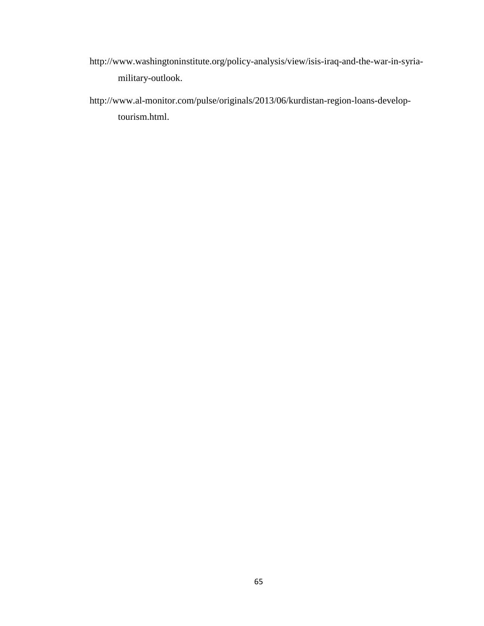- [http://www.washingtoninstitute.org/policy-analysis/view/isis-iraq-and-the-war-in-syria](http://www.washingtoninstitute.org/policy-analysis/view/isis-iraq-and-the-war-in-syria-military-outlook)[military-outlook.](http://www.washingtoninstitute.org/policy-analysis/view/isis-iraq-and-the-war-in-syria-military-outlook)
- [http://www.al-monitor.com/pulse/originals/2013/06/kurdistan-region-loans-develop](http://www.al-monitor.com/pulse/originals/2013/06/kurdistan-region-loans-develop-tourism.html)[tourism.html.](http://www.al-monitor.com/pulse/originals/2013/06/kurdistan-region-loans-develop-tourism.html)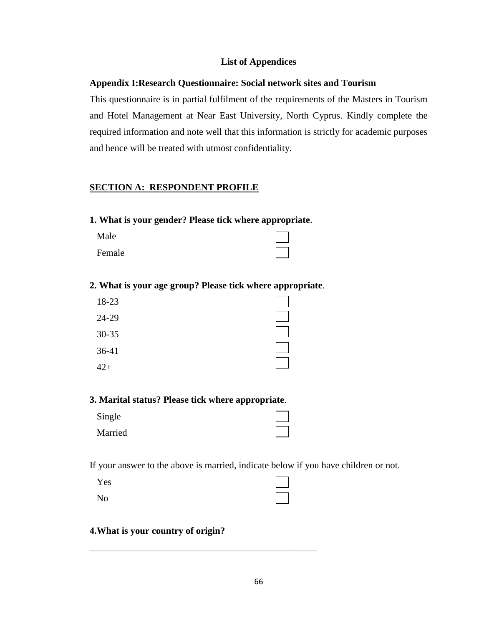## **List of Appendices**

### **Appendix I:Research Questionnaire: Social network sites and Tourism**

This questionnaire is in partial fulfilment of the requirements of the Masters in Tourism and Hotel Management at Near East University, North Cyprus. Kindly complete the required information and note well that this information is strictly for academic purposes and hence will be treated with utmost confidentiality.

#### **SECTION A: RESPONDENT PROFILE**

**1. What is your gender? Please tick where appropriate**.

| Male   |  |
|--------|--|
| Female |  |

### **2. What is your age group? Please tick where appropriate**.

| 18-23     |  |
|-----------|--|
| 24-29     |  |
| $30 - 35$ |  |
| 36-41     |  |
| 2∓        |  |

### **3. Marital status? Please tick where appropriate**.

| Single  |  |
|---------|--|
| Married |  |

If your answer to the above is married, indicate below if you have children or not.

| Yes            | $\mathbf{L}$ |
|----------------|--------------|
| N <sub>0</sub> |              |

\_\_\_\_\_\_\_\_\_\_\_\_\_\_\_\_\_\_\_\_\_\_\_\_\_\_\_\_\_\_\_\_\_\_\_\_\_\_\_\_\_\_\_\_\_\_\_\_

## **4.What is your country of origin?**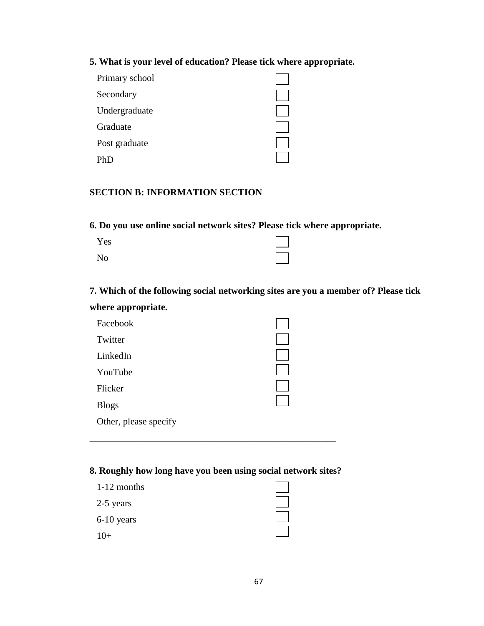### **5. What is your level of education? Please tick where appropriate.**

| Primary school |  |
|----------------|--|
| Secondary      |  |
| Undergraduate  |  |
| Graduate       |  |
| Post graduate  |  |
|                |  |

# **SECTION B: INFORMATION SECTION**

**6. Do you use online social network sites? Please tick where appropriate.** 

| Yes            | $\mathbf{1}$               |
|----------------|----------------------------|
| N <sub>o</sub> | $\mathcal{L}(\mathcal{L})$ |

**7. Which of the following social networking sites are you a member of? Please tick where appropriate.**

| Facebook              |  |
|-----------------------|--|
| Twitter               |  |
| LinkedIn              |  |
| YouTube               |  |
| Flicker               |  |
| <b>Blogs</b>          |  |
| Other, please specify |  |

# **8. Roughly how long have you been using social network sites?**

\_\_\_\_\_\_\_\_\_\_\_\_\_\_\_\_\_\_\_\_\_\_\_\_\_\_\_\_\_\_\_\_\_\_\_\_\_\_\_\_\_\_\_\_\_\_\_\_\_\_\_\_

| 1-12 months |  |
|-------------|--|
| 2-5 years   |  |
| 6-10 years  |  |
|             |  |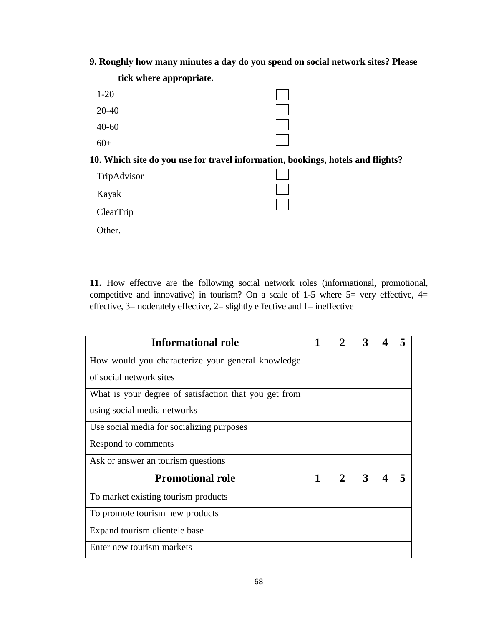**9. Roughly how many minutes a day do you spend on social network sites? Please** 

| tick where appropriate. |                                                                                 |
|-------------------------|---------------------------------------------------------------------------------|
| $1 - 20$                |                                                                                 |
| $20 - 40$               |                                                                                 |
| $40 - 60$               |                                                                                 |
| $60+$                   |                                                                                 |
|                         | 10. Which site do you use for travel information, bookings, hotels and flights? |
| TripAdvisor             |                                                                                 |
| Kayak                   |                                                                                 |
| <b>ClearTrip</b>        |                                                                                 |
| Other.                  |                                                                                 |
|                         |                                                                                 |

**11.** How effective are the following social network roles (informational, promotional, competitive and innovative) in tourism? On a scale of 1-5 where  $5=$  very effective,  $4=$ effective, 3=moderately effective, 2= slightly effective and 1= ineffective

| <b>Informational role</b>                             |   |   |   |                       |  |
|-------------------------------------------------------|---|---|---|-----------------------|--|
| How would you characterize your general knowledge     |   |   |   |                       |  |
| of social network sites                               |   |   |   |                       |  |
| What is your degree of satisfaction that you get from |   |   |   |                       |  |
| using social media networks                           |   |   |   |                       |  |
| Use social media for socializing purposes             |   |   |   |                       |  |
| Respond to comments                                   |   |   |   |                       |  |
| Ask or answer an tourism questions                    |   |   |   |                       |  |
| <b>Promotional role</b>                               | 1 | 2 | 3 | $\boldsymbol{\Delta}$ |  |
| To market existing tourism products                   |   |   |   |                       |  |
| To promote tourism new products                       |   |   |   |                       |  |
| Expand tourism clientele base                         |   |   |   |                       |  |
| Enter new tourism markets                             |   |   |   |                       |  |